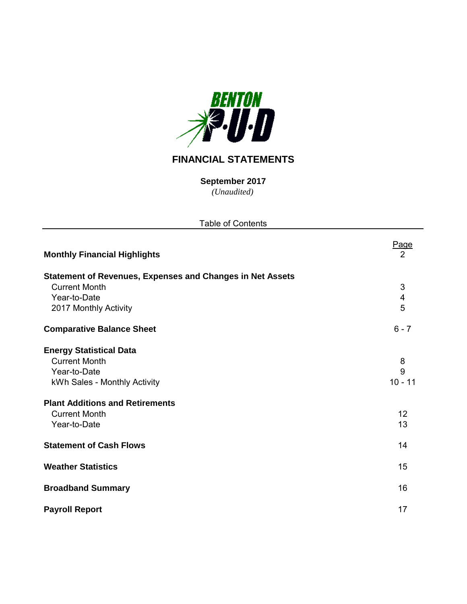

# **FINANCIAL STATEMENTS**

*(Unaudited)* **September 2017**

Table of Contents

**Monthly Financial Highlights** 2

Page<br>2

| <b>Statement of Revenues, Expenses and Changes in Net Assets</b> |                         |
|------------------------------------------------------------------|-------------------------|
| <b>Current Month</b>                                             | $\mathfrak{S}$          |
| Year-to-Date                                                     | $\overline{\mathbf{4}}$ |
| 2017 Monthly Activity                                            | 5                       |
| <b>Comparative Balance Sheet</b>                                 | $6 - 7$                 |
| <b>Energy Statistical Data</b>                                   |                         |
| <b>Current Month</b>                                             | 8                       |
| Year-to-Date                                                     | 9                       |
| kWh Sales - Monthly Activity                                     | $10 - 11$               |
| <b>Plant Additions and Retirements</b>                           |                         |
| <b>Current Month</b>                                             | 12                      |
| Year-to-Date                                                     | 13                      |
| <b>Statement of Cash Flows</b>                                   | 14                      |
| <b>Weather Statistics</b>                                        | 15                      |
| <b>Broadband Summary</b>                                         | 16                      |
| <b>Payroll Report</b>                                            | 17                      |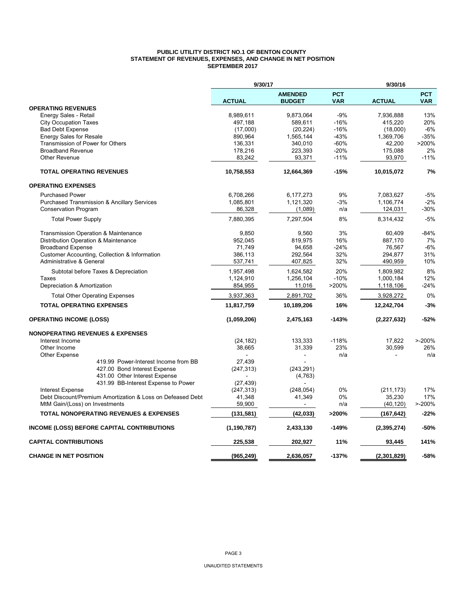#### **PUBLIC UTILITY DISTRICT NO.1 OF BENTON COUNTY STATEMENT OF REVENUES, EXPENSES, AND CHANGE IN NET POSITION SEPTEMBER 2017**

|                                                                                     | 9/30/17       |                                 | 9/30/16                  |               |                          |  |
|-------------------------------------------------------------------------------------|---------------|---------------------------------|--------------------------|---------------|--------------------------|--|
|                                                                                     | <b>ACTUAL</b> | <b>AMENDED</b><br><b>BUDGET</b> | <b>PCT</b><br><b>VAR</b> | <b>ACTUAL</b> | <b>PCT</b><br><b>VAR</b> |  |
| <b>OPERATING REVENUES</b>                                                           |               |                                 |                          |               |                          |  |
| Energy Sales - Retail                                                               | 8,989,611     | 9,873,064                       | $-9%$                    | 7,936,888     | 13%                      |  |
| <b>City Occupation Taxes</b>                                                        | 497,188       | 589,611                         | $-16%$                   | 415,220       | 20%                      |  |
| <b>Bad Debt Expense</b>                                                             | (17,000)      | (20, 224)                       | $-16%$                   | (18,000)      | $-6%$                    |  |
| <b>Energy Sales for Resale</b>                                                      | 890.964       | 1,565,144                       | $-43%$                   | 1,369,706     | $-35%$                   |  |
| Transmission of Power for Others                                                    | 136,331       | 340,010                         | $-60%$                   | 42,200        | >200%                    |  |
| <b>Broadband Revenue</b>                                                            | 178,216       | 223,393                         | $-20%$                   | 175,088       | 2%                       |  |
| <b>Other Revenue</b>                                                                | 83,242        | 93,371                          | $-11%$                   | 93,970        | $-11%$                   |  |
| <b>TOTAL OPERATING REVENUES</b>                                                     | 10,758,553    | 12,664,369                      | $-15%$                   | 10,015,072    | 7%                       |  |
| <b>OPERATING EXPENSES</b>                                                           |               |                                 |                          |               |                          |  |
| <b>Purchased Power</b>                                                              | 6,708,266     | 6,177,273                       | 9%                       | 7,083,627     | $-5%$                    |  |
| <b>Purchased Transmission &amp; Ancillary Services</b>                              | 1,085,801     | 1,121,320                       | -3%                      | 1,106,774     | $-2%$                    |  |
| <b>Conservation Program</b>                                                         | 86,328        | (1,089)                         | n/a                      | 124,031       | $-30%$                   |  |
| <b>Total Power Supply</b>                                                           | 7,880,395     | 7,297,504                       | 8%                       | 8,314,432     | $-5%$                    |  |
| Transmission Operation & Maintenance                                                | 9,850         | 9,560                           | 3%                       | 60,409        | $-84%$                   |  |
| Distribution Operation & Maintenance                                                | 952,045       | 819,975                         | 16%                      | 887,170       | 7%                       |  |
| <b>Broadband Expense</b>                                                            | 71,749        | 94,658                          | $-24%$                   | 76,567        | $-6%$                    |  |
| Customer Accounting, Collection & Information                                       | 386,113       | 292,564                         | 32%                      | 294,877       | 31%                      |  |
| Administrative & General                                                            | 537,741       | 407,825                         | 32%                      | 490,959       | 10%                      |  |
| Subtotal before Taxes & Depreciation                                                | 1,957,498     | 1,624,582                       | 20%                      | 1,809,982     | 8%                       |  |
| Taxes                                                                               | 1,124,910     | 1,256,104                       | $-10%$                   | 1,000,184     | 12%                      |  |
| Depreciation & Amortization                                                         | 854,955       | 11,016                          | >200%                    | 1,118,106     | $-24%$                   |  |
| <b>Total Other Operating Expenses</b>                                               | 3,937,363     | 2,891,702                       | 36%                      | 3,928,272     | 0%                       |  |
| <b>TOTAL OPERATING EXPENSES</b>                                                     | 11,817,759    | 10,189,206                      | 16%                      | 12,242,704    | $-3%$                    |  |
| <b>OPERATING INCOME (LOSS)</b>                                                      | (1,059,206)   | 2,475,163                       | $-143%$                  | (2, 227, 632) | -52%                     |  |
| <b>NONOPERATING REVENUES &amp; EXPENSES</b>                                         |               |                                 |                          |               |                          |  |
| Interest Income                                                                     | (24, 182)     | 133,333                         | $-118%$                  | 17,822        | $> -200%$                |  |
| Other Income                                                                        | 38,665        | 31,339                          | 23%                      | 30,599        | 26%                      |  |
| Other Expense                                                                       |               | $\overline{a}$                  | n/a                      |               | n/a                      |  |
| 419.99 Power-Interest Income from BB                                                | 27.439        |                                 |                          |               |                          |  |
| 427.00 Bond Interest Expense                                                        | (247, 313)    | (243, 291)                      |                          |               |                          |  |
| 431.00 Other Interest Expense                                                       |               | (4, 763)                        |                          |               |                          |  |
| 431.99 BB-Interest Expense to Power                                                 | (27, 439)     |                                 |                          |               |                          |  |
| <b>Interest Expense</b>                                                             | (247, 313)    | (248, 054)                      | 0%                       | (211, 173)    | 17%                      |  |
| Debt Discount/Premium Amortization & Loss on Defeased Debt                          | 41,348        | 41,349                          | 0%                       | 35,230        | 17%                      |  |
| MtM Gain/(Loss) on Investments<br><b>TOTAL NONOPERATING REVENUES &amp; EXPENSES</b> | 59,900        | $\blacksquare$                  | n/a<br>>200%             | (40, 120)     | $> -200%$<br>$-22%$      |  |
|                                                                                     | (131, 581)    | (42, 033)                       |                          | (167, 642)    |                          |  |
| <b>INCOME (LOSS) BEFORE CAPITAL CONTRIBUTIONS</b>                                   | (1, 190, 787) | 2,433,130                       | $-149%$                  | (2, 395, 274) | $-50%$                   |  |
| <b>CAPITAL CONTRIBUTIONS</b>                                                        | 225,538       | 202,927                         | 11%                      | 93,445        | 141%                     |  |
| <b>CHANGE IN NET POSITION</b>                                                       | (965, 249)    | 2,636,057                       | $-137%$                  | (2,301,829)   | $-58%$                   |  |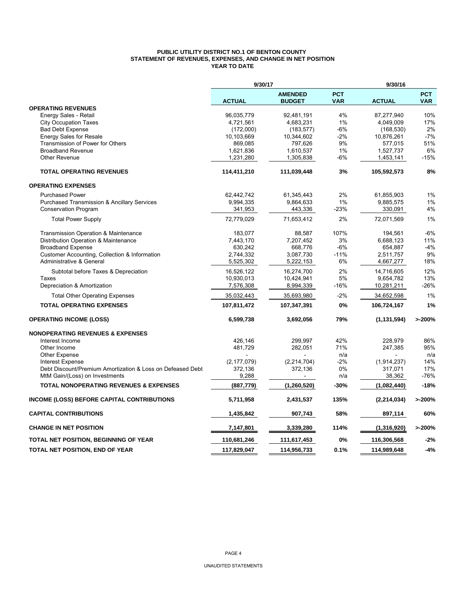#### **PUBLIC UTILITY DISTRICT NO.1 OF BENTON COUNTY STATEMENT OF REVENUES, EXPENSES, AND CHANGE IN NET POSITION YEAR TO DATE**

|                                                            | 9/30/17       |                                 | 9/30/16                  |               |                          |  |
|------------------------------------------------------------|---------------|---------------------------------|--------------------------|---------------|--------------------------|--|
|                                                            | <b>ACTUAL</b> | <b>AMENDED</b><br><b>BUDGET</b> | <b>PCT</b><br><b>VAR</b> | <b>ACTUAL</b> | <b>PCT</b><br><b>VAR</b> |  |
| <b>OPERATING REVENUES</b>                                  |               |                                 |                          |               |                          |  |
| Energy Sales - Retail                                      | 96,035,779    | 92,481,191                      | 4%                       | 87,277,940    | 10%                      |  |
| <b>City Occupation Taxes</b>                               | 4,721,561     | 4,683,231                       | 1%                       | 4,049,009     | 17%                      |  |
| <b>Bad Debt Expense</b>                                    | (172,000)     | (183, 577)                      | -6%                      | (168, 530)    | 2%                       |  |
| <b>Energy Sales for Resale</b>                             | 10,103,669    | 10,344,602                      | $-2%$                    | 10,876,261    | $-7%$                    |  |
| Transmission of Power for Others                           | 869,085       | 797,626                         | 9%                       | 577,015       | 51%                      |  |
| <b>Broadband Revenue</b>                                   | 1,621,836     | 1,610,537                       | 1%                       | 1,527,737     | 6%                       |  |
| Other Revenue                                              | 1,231,280     | 1,305,838                       | -6%                      | 1,453,141     | $-15%$                   |  |
| <b>TOTAL OPERATING REVENUES</b>                            | 114,411,210   | 111,039,448                     | 3%                       | 105,592,573   | 8%                       |  |
| <b>OPERATING EXPENSES</b>                                  |               |                                 |                          |               |                          |  |
| <b>Purchased Power</b>                                     | 62.442.742    | 61,345,443                      | 2%                       | 61,855,903    | 1%                       |  |
| <b>Purchased Transmission &amp; Ancillary Services</b>     | 9,994,335     | 9,864,633                       | 1%                       | 9,885,575     | 1%                       |  |
| <b>Conservation Program</b>                                | 341,953       | 443,336                         | $-23%$                   | 330,091       | 4%                       |  |
| <b>Total Power Supply</b>                                  | 72.779.029    | 71,653,412                      | 2%                       | 72,071,569    | 1%                       |  |
| Transmission Operation & Maintenance                       | 183.077       | 88,587                          | 107%                     | 194,561       | $-6%$                    |  |
| Distribution Operation & Maintenance                       | 7,443,170     | 7,207,452                       | 3%                       | 6.688.123     | 11%                      |  |
| <b>Broadband Expense</b>                                   | 630,242       | 668,776                         | $-6%$                    | 654,887       | $-4%$                    |  |
| Customer Accounting, Collection & Information              | 2,744,332     | 3,087,730                       | $-11%$                   | 2,511,757     | 9%                       |  |
| Administrative & General                                   | 5,525,302     | 5,222,153                       | 6%                       | 4,667,277     | 18%                      |  |
| Subtotal before Taxes & Depreciation                       | 16,526,122    | 16,274,700                      | 2%                       | 14.716.605    | 12%                      |  |
| <b>Taxes</b>                                               | 10,930,013    | 10,424,941                      | 5%                       | 9,654,782     | 13%                      |  |
| Depreciation & Amortization                                | 7,576,308     | 8,994,339                       | $-16%$                   | 10,281,211    | $-26%$                   |  |
| <b>Total Other Operating Expenses</b>                      | 35,032,443    | 35,693,980                      | $-2%$                    | 34,652,598    | 1%                       |  |
| <b>TOTAL OPERATING EXPENSES</b>                            | 107,811,472   | 107,347,391                     | 0%                       | 106,724,167   | 1%                       |  |
| <b>OPERATING INCOME (LOSS)</b>                             | 6,599,738     | 3,692,056                       | 79%                      | (1, 131, 594) | >200%                    |  |
| <b>NONOPERATING REVENUES &amp; EXPENSES</b>                |               |                                 |                          |               |                          |  |
| Interest Income                                            | 426,146       | 299,997                         | 42%                      | 228,979       | 86%                      |  |
| Other Income                                               | 481,729       | 282,051                         | 71%                      | 247,385       | 95%                      |  |
| <b>Other Expense</b>                                       |               |                                 | n/a                      |               | n/a                      |  |
| <b>Interest Expense</b>                                    | (2, 177, 079) | (2, 214, 704)                   | $-2%$                    | (1, 914, 237) | 14%                      |  |
| Debt Discount/Premium Amortization & Loss on Defeased Debt | 372,136       | 372,136                         | 0%                       | 317,071       | 17%                      |  |
| MtM Gain/(Loss) on Investments                             | 9,288         |                                 | n/a                      | 38,362        | $-76%$                   |  |
| <b>TOTAL NONOPERATING REVENUES &amp; EXPENSES</b>          | (887, 779)    | (1,260,520)                     | -30%                     | (1,082,440)   | $-18%$                   |  |
| <b>INCOME (LOSS) BEFORE CAPITAL CONTRIBUTIONS</b>          | 5,711,958     | 2,431,537                       | 135%                     | (2, 214, 034) | >200%                    |  |
| <b>CAPITAL CONTRIBUTIONS</b>                               | 1,435,842     | 907,743                         | 58%                      | 897,114       | 60%                      |  |
| <b>CHANGE IN NET POSITION</b>                              | 7,147,801     | 3,339,280                       | 114%                     | (1,316,920)   | >200%                    |  |
| TOTAL NET POSITION, BEGINNING OF YEAR                      | 110,681,246   | 111,617,453                     | 0%                       | 116,306,568   | $-2%$                    |  |
| <b>TOTAL NET POSITION, END OF YEAR</b>                     | 117,829,047   | 114,956,733                     | 0.1%                     | 114,989,648   | $-4%$                    |  |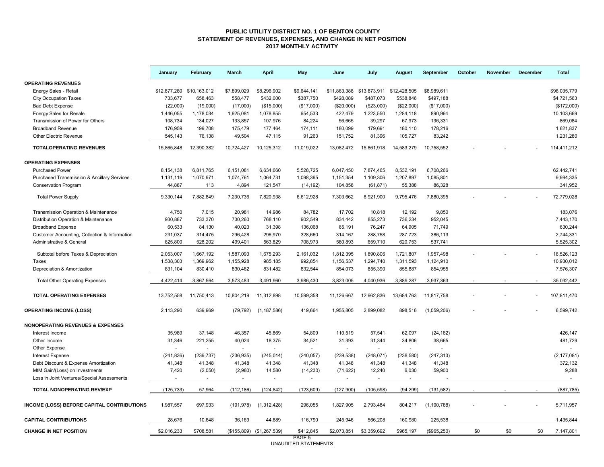#### **PUBLIC UTILITY DISTRICT NO. 1 OF BENTON COUNTY STATEMENT OF REVENUES, EXPENSES, AND CHANGE IN NET POSITION 2017 MONTHLY ACTIVITY**

|                                                        | January                   | February                 | March          | April                     | May                      | June                     | July           | August         | September     | October | November | December | <b>Total</b>  |
|--------------------------------------------------------|---------------------------|--------------------------|----------------|---------------------------|--------------------------|--------------------------|----------------|----------------|---------------|---------|----------|----------|---------------|
| <b>OPERATING REVENUES</b>                              |                           |                          |                |                           |                          |                          |                |                |               |         |          |          |               |
| Energy Sales - Retail                                  | \$12,877,280 \$10,163,012 |                          | \$7,899,029    | \$8,296,902               | \$9.644.141              | \$11,863,388             | \$13.873.911   | \$12,428,505   | \$8.989.611   |         |          |          | \$96.035.779  |
| <b>City Occupation Taxes</b>                           | 733,677                   | 658,463                  | 558,477        | \$432,000                 | \$387,750                | \$428,089                | \$487,073      | \$538,846      | \$497,188     |         |          |          | \$4,721,563   |
| <b>Bad Debt Expense</b>                                | (22,000)                  | (19,000)                 | (17,000)       | (\$15,000)                | (\$17,000)               | (\$20,000)               | (\$23,000)     | (\$22,000)     | (\$17,000)    |         |          |          | (\$172,000)   |
| <b>Energy Sales for Resale</b>                         | 1,446,055                 | 1,178,034                | 1,925,081      | 1,078,855                 | 654,533                  | 422,479                  | 1,223,550      | 1,284,118      | 890,964       |         |          |          | 10,103,669    |
| Transmission of Power for Others                       | 108,734                   | 134,027                  | 133,857        | 107,976                   | 84,224                   | 56,665                   | 39,297         | 67,973         | 136,331       |         |          |          | 869,084       |
| <b>Broadband Revenue</b>                               | 176,959                   | 199,708                  | 175,479        | 177,464                   | 174,111                  | 180,099                  | 179,691        | 180,110        | 178,216       |         |          |          | 1,621,837     |
| <b>Other Electric Revenue</b>                          | 545,143                   | 76,138                   | 49,504         | 47,115                    | 91,263                   | 151,752                  | 81,396         | 105,727        | 83,242        |         |          |          | 1,231,280     |
| <b>TOTALOPERATING REVENUES</b>                         | 15,865,848                | 12,390,382               | 10,724,427     | 10,125,312                | 11,019,022               | 13,082,472               | 15,861,918     | 14,583,279     | 10,758,552    |         |          |          | 114,411,212   |
| <b>OPERATING EXPENSES</b>                              |                           |                          |                |                           |                          |                          |                |                |               |         |          |          |               |
| <b>Purchased Power</b>                                 | 8,154,138                 | 6,811,765                | 6,151,081      | 6,634,660                 | 5,528,725                | 6,047,450                | 7,874,465      | 8,532,191      | 6,708,266     |         |          |          | 62,442,741    |
| <b>Purchased Transmission &amp; Ancillary Services</b> | 1,131,119                 | 1,070,971                | 1,074,761      | 1,064,731                 | 1,098,395                | 1,151,354                | 1,109,306      | 1,207,897      | 1,085,801     |         |          |          | 9,994,335     |
| <b>Conservation Program</b>                            | 44,887                    | 113                      | 4,894          | 121,547                   | (14, 192)                | 104,858                  | (61, 871)      | 55,388         | 86,328        |         |          |          | 341,952       |
| <b>Total Power Supply</b>                              | 9,330,144                 | 7,882,849                | 7,230,736      | 7,820,938                 | 6,612,928                | 7,303,662                | 8,921,900      | 9,795,476      | 7,880,395     |         |          |          | 72,779,028    |
| Transmission Operation & Maintenance                   | 4,750                     | 7,015                    | 20,981         | 14,986                    | 84,782                   | 17,702                   | 10,818         | 12,192         | 9,850         |         |          |          | 183,076       |
| Distribution Operation & Maintenance                   | 930,887                   | 733,370                  | 730,260        | 768,110                   | 902,549                  | 834,442                  | 855,273        | 736,234        | 952,045       |         |          |          | 7,443,170     |
| <b>Broadband Expense</b>                               | 60,533                    | 84,130                   | 40,023         | 31,398                    | 136,068                  | 65,191                   | 76,247         | 64,905         | 71,749        |         |          |          | 630,244       |
| Customer Accounting, Collection & Information          | 231,037                   | 314,475                  | 296,428        | 296,970                   | 328,660                  | 314,167                  | 288,758        | 287,723        | 386,113       |         |          |          | 2,744,331     |
| Administrative & General                               | 825,800                   | 528,202                  | 499,401        | 563,829                   | 708,973                  | 580,893                  | 659,710        | 620,753        | 537,741       |         |          |          | 5,525,302     |
| Subtotal before Taxes & Depreciation                   | 2,053,007                 | 1,667,192                | 1,587,093      | 1,675,293                 | 2,161,032                | 1,812,395                | 1,890,806      | 1,721,807      | 1,957,498     |         |          |          | 16,526,123    |
| Taxes                                                  | 1,538,303                 | 1,369,962                | 1,155,928      | 985,185                   | 992,854                  | 1,156,537                | 1,294,740      | 1,311,593      | 1,124,910     |         |          |          | 10,930,012    |
| Depreciation & Amortization                            | 831.104                   | 830.410                  | 830,462        | 831,482                   | 832.544                  | 854,073                  | 855,390        | 855,887        | 854,955       |         |          |          | 7,576,307     |
|                                                        |                           |                          |                |                           |                          |                          |                |                |               |         |          |          |               |
| <b>Total Other Operating Expenses</b>                  | 4,422,414                 | 3,867,564                | 3,573,483      | 3,491,960                 | 3,986,430                | 3,823,005                | 4,040,936      | 3,889,287      | 3,937,363     |         |          |          | 35,032,442    |
| <b>TOTAL OPERATING EXPENSES</b>                        | 13,752,558                | 11,750,413               | 10,804,219     | 11,312,898                | 10,599,358               | 11,126,667               | 12,962,836     | 13,684,763     | 11,817,758    |         |          |          | 107,811,470   |
| <b>OPERATING INCOME (LOSS)</b>                         | 2,113,290                 | 639,969                  | (79, 792)      | (1, 187, 586)             | 419,664                  | 1,955,805                | 2,899,082      | 898,516        | (1,059,206)   |         |          |          | 6,599,742     |
| <b>NONOPERATING REVENUES &amp; EXPENSES</b>            |                           |                          |                |                           |                          |                          |                |                |               |         |          |          |               |
| Interest Income                                        | 35,989                    | 37,148                   | 46,357         | 45,869                    | 54,809                   | 110,519                  | 57,541         | 62,097         | (24, 182)     |         |          |          | 426,147       |
| Other Income                                           | 31,346                    | 221,255                  | 40,024         | 18,375                    | 34,521                   | 31,393                   | 31,344         | 34,806         | 38,665        |         |          |          | 481,729       |
| Other Expense                                          |                           | $\sim$                   | $\mathbf{r}$   | $\omega$                  | $\overline{\phantom{a}}$ | $\overline{\phantom{a}}$ | $\mathcal{L}$  | $\omega$       | ÷.            |         |          |          |               |
| <b>Interest Expense</b>                                | (241, 836)                | (239, 737)               | (236, 935)     | (245, 014)                | (240, 057)               | (239, 538)               | (248, 071)     | (238, 580)     | (247, 313)    |         |          |          | (2, 177, 081) |
| Debt Discount & Expense Amortization                   | 41,348                    | 41,348                   | 41,348         | 41,348                    | 41,348                   | 41,348                   | 41,348         | 41,348         | 41,348        |         |          |          | 372,132       |
| MtM Gain/(Loss) on Investments                         | 7,420                     | (2,050)                  | (2,980)        | 14,580                    | (14, 230)                | (71, 622)                | 12,240         | 6,030          | 59,900        |         |          |          | 9,288         |
| Loss in Joint Ventures/Special Assessments             |                           | $\overline{\phantom{a}}$ | $\blacksquare$ | $\blacksquare$            | $\sim$                   | $\blacksquare$           | $\blacksquare$ | $\blacksquare$ |               |         |          |          | $\sim$        |
| TOTAL NONOPERATING REV/EXP                             | (125, 733)                | 57,964                   | (112, 186)     | (124, 842)                | (123, 609)               | (127, 900)               | (105, 598)     | (94, 299)      | (131, 582)    |         |          |          | (887, 785)    |
| INCOME (LOSS) BEFORE CAPITAL CONTRIBUTIONS             | 1,987,557                 | 697,933                  | (191, 978)     | (1,312,428)               | 296,055                  | 1,827,905                | 2,793,484      | 804,217        | (1, 190, 788) |         |          |          | 5,711,957     |
| <b>CAPITAL CONTRIBUTIONS</b>                           | 28,676                    | 10,648                   | 36,169         | 44,889                    | 116,790                  | 245,946                  | 566,208        | 160,980        | 225,538       |         |          |          | 1,435,844     |
| <b>CHANGE IN NET POSITION</b>                          | \$2,016,233               | \$708,581                |                | (\$155,809) (\$1,267,539) | \$412,845                | \$2,073,851              | \$3,359,692    | \$965,197      | (\$965,250)   | \$0     | \$0      | \$0      | 7,147,801     |
|                                                        |                           |                          |                |                           | PAGE 5                   |                          |                |                |               |         |          |          |               |

PAGE 5 UNAUDITED STATEMENTS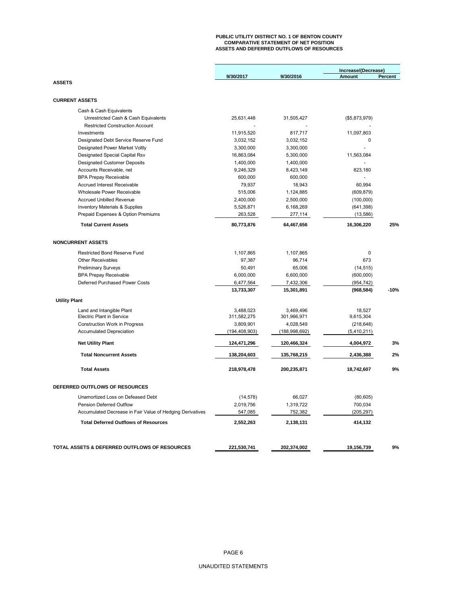# **PUBLIC UTILITY DISTRICT NO. 1 OF BENTON COUNTY COMPARATIVE STATEMENT OF NET POSITION ASSETS AND DEFERRED OUTFLOWS OF RESOURCES**

|                                                           |                         |                         | Increase/(Decrease)      |         |
|-----------------------------------------------------------|-------------------------|-------------------------|--------------------------|---------|
|                                                           | 9/30/2017               | 9/30/2016               | Amount                   | Percent |
| <b>ASSETS</b>                                             |                         |                         |                          |         |
|                                                           |                         |                         |                          |         |
| <b>CURRENT ASSETS</b>                                     |                         |                         |                          |         |
| Cash & Cash Equivalents                                   |                         |                         |                          |         |
| Unrestricted Cash & Cash Equivalents                      | 25,631,448              | 31,505,427              | (\$5,873,979)            |         |
| <b>Restricted Construction Account</b>                    |                         |                         |                          |         |
| Investments                                               | 11,915,520              | 817,717                 | 11,097,803               |         |
| Designated Debt Service Reserve Fund                      | 3,032,152               | 3,032,152               | 0                        |         |
| Designated Power Market Voltly                            | 3,300,000               | 3,300,000               |                          |         |
| Designated Special Capital Rsv                            | 16,863,084              | 5,300,000               | 11,563,084               |         |
| <b>Designated Customer Deposits</b>                       | 1,400,000               | 1,400,000               | $\overline{a}$           |         |
| Accounts Receivable, net                                  | 9,246,329               | 8,423,149               | 823,180                  |         |
| <b>BPA Prepay Receivable</b>                              | 600,000                 | 600,000                 |                          |         |
| <b>Accrued Interest Receivable</b>                        | 79,937                  | 18,943                  | 60,994                   |         |
| Wholesale Power Receivable                                | 515,006                 | 1,124,885               | (609, 879)               |         |
| <b>Accrued Unbilled Revenue</b>                           | 2,400,000               | 2,500,000               | (100,000)                |         |
| <b>Inventory Materials &amp; Supplies</b>                 | 5,526,871               | 6,168,269               | (641, 398)               |         |
| Prepaid Expenses & Option Premiums                        | 263,528                 | 277,114                 | (13,586)                 |         |
| <b>Total Current Assets</b>                               | 80,773,876              | 64,467,656              | 16,306,220               | 25%     |
| <b>NONCURRENT ASSETS</b>                                  |                         |                         |                          |         |
|                                                           |                         |                         |                          |         |
| <b>Restricted Bond Reserve Fund</b>                       | 1,107,865               | 1,107,865               | $\mathbf 0$              |         |
| <b>Other Receivables</b>                                  | 97,387                  | 96,714                  | 673                      |         |
| <b>Preliminary Surveys</b>                                | 50,491                  | 65,006                  | (14, 515)                |         |
| <b>BPA Prepay Receivable</b>                              | 6,000,000               | 6,600,000               | (600,000)                |         |
| Deferred Purchased Power Costs                            | 6,477,564<br>13,733,307 | 7,432,306<br>15,301,891 | (954, 742)<br>(968, 584) | $-10%$  |
| <b>Utility Plant</b>                                      |                         |                         |                          |         |
| Land and Intangible Plant                                 | 3,488,023               | 3,469,496               | 18.527                   |         |
| <b>Electric Plant in Service</b>                          | 311,582,275             | 301,966,971             | 9,615,304                |         |
| <b>Construction Work in Progress</b>                      | 3,809,901               | 4,028,549               | (218, 648)               |         |
| <b>Accumulated Depreciation</b>                           | (194, 408, 903)         | (188, 998, 692)         | (5,410,211)              |         |
| <b>Net Utility Plant</b>                                  | 124,471,296             | 120,466,324             | 4,004,972                | 3%      |
| <b>Total Noncurrent Assets</b>                            | 138,204,603             | 135,768,215             | 2,436,388                | 2%      |
| <b>Total Assets</b>                                       | 218,978,478             | 200,235,871             | 18,742,607               | 9%      |
|                                                           |                         |                         |                          |         |
| DEFERRED OUTFLOWS OF RESOURCES                            |                         |                         |                          |         |
| Unamortized Loss on Defeased Debt                         | (14, 578)               | 66,027                  | (80, 605)                |         |
| Pension Deferred Outflow                                  | 2,019,756               | 1,319,722               | 700,034                  |         |
| Accumulated Decrease in Fair Value of Hedging Derivatives | 547,085                 | 752,382                 | (205, 297)               |         |
| <b>Total Deferred Outflows of Resources</b>               | 2,552,263               | 2,138,131               | 414,132                  |         |
|                                                           |                         |                         |                          |         |
| TOTAL ASSETS & DEFERRED OUTFLOWS OF RESOURCES             | 221,530,741             | 202,374,002             | 19,156,739               | 9%      |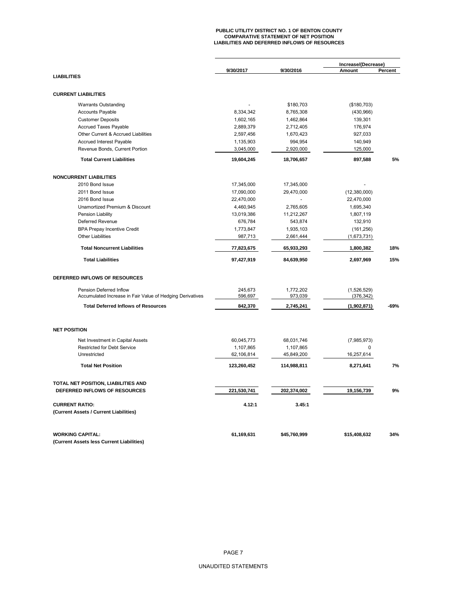# **PUBLIC UTILITY DISTRICT NO. 1 OF BENTON COUNTY COMPARATIVE STATEMENT OF NET POSITION LIABILITIES AND DEFERRED INFLOWS OF RESOURCES**

|                                                           |             |              | Increase/(Decrease) |         |  |  |
|-----------------------------------------------------------|-------------|--------------|---------------------|---------|--|--|
| <b>LIABILITIES</b>                                        | 9/30/2017   | 9/30/2016    | Amount              | Percent |  |  |
|                                                           |             |              |                     |         |  |  |
| <b>CURRENT LIABILITIES</b>                                |             |              |                     |         |  |  |
| <b>Warrants Outstanding</b>                               |             | \$180,703    | (\$180, 703)        |         |  |  |
| <b>Accounts Payable</b>                                   | 8,334,342   | 8,765,308    | (430, 966)          |         |  |  |
| <b>Customer Deposits</b>                                  | 1,602,165   | 1,462,864    | 139,301             |         |  |  |
| <b>Accrued Taxes Payable</b>                              | 2,889,379   | 2,712,405    | 176,974             |         |  |  |
| Other Current & Accrued Liabilities                       | 2,597,456   | 1,670,423    | 927,033             |         |  |  |
| Accrued Interest Payable                                  | 1,135,903   | 994,954      | 140,949             |         |  |  |
| Revenue Bonds, Current Portion                            | 3,045,000   | 2,920,000    | 125,000             |         |  |  |
| <b>Total Current Liabilities</b>                          | 19,604,245  | 18,706,657   | 897,588             | 5%      |  |  |
| <b>NONCURRENT LIABILITIES</b>                             |             |              |                     |         |  |  |
| 2010 Bond Issue                                           | 17,345,000  | 17,345,000   |                     |         |  |  |
| 2011 Bond Issue                                           | 17,090,000  | 29,470,000   |                     |         |  |  |
| 2016 Bond Issue                                           | 22,470,000  |              | (12,380,000)        |         |  |  |
| Unamortized Premium & Discount                            |             |              | 22,470,000          |         |  |  |
|                                                           | 4,460,945   | 2,765,605    | 1,695,340           |         |  |  |
| Pension Liability                                         | 13,019,386  | 11,212,267   | 1,807,119           |         |  |  |
| Deferred Revenue                                          | 676,784     | 543,874      | 132,910             |         |  |  |
| <b>BPA Prepay Incentive Credit</b>                        | 1,773,847   | 1,935,103    | (161, 256)          |         |  |  |
| <b>Other Liabilities</b>                                  | 987,713     | 2,661,444    | (1,673,731)         |         |  |  |
| <b>Total Noncurrent Liabilities</b>                       | 77,823,675  | 65,933,293   | 1,800,382           | 18%     |  |  |
| <b>Total Liabilities</b>                                  | 97,427,919  | 84,639,950   | 2,697,969           | 15%     |  |  |
| DEFERRED INFLOWS OF RESOURCES                             |             |              |                     |         |  |  |
| Pension Deferred Inflow                                   | 245.673     | 1,772,202    | (1,526,529)         |         |  |  |
| Accumulated Increase in Fair Value of Hedging Derivatives | 596,697     | 973,039      | (376, 342)          |         |  |  |
| <b>Total Deferred Inflows of Resources</b>                | 842,370     | 2,745,241    | (1,902,871)         | -69%    |  |  |
|                                                           |             |              |                     |         |  |  |
| <b>NET POSITION</b>                                       |             |              |                     |         |  |  |
| Net Investment in Capital Assets                          | 60,045,773  | 68,031,746   | (7,985,973)         |         |  |  |
| Restricted for Debt Service                               | 1,107,865   | 1,107,865    | 0                   |         |  |  |
| Unrestricted                                              | 62,106,814  | 45,849,200   | 16,257,614          |         |  |  |
| <b>Total Net Position</b>                                 | 123,260,452 | 114,988,811  | 8,271,641           | 7%      |  |  |
| TOTAL NET POSITION, LIABILITIES AND                       |             |              |                     |         |  |  |
| DEFERRED INFLOWS OF RESOURCES                             | 221,530,741 | 202,374,002  | 19,156,739          | 9%      |  |  |
| <b>CURRENT RATIO:</b>                                     | 4.12:1      | 3.45:1       |                     |         |  |  |
| (Current Assets / Current Liabilities)                    |             |              |                     |         |  |  |
| <b>WORKING CAPITAL:</b>                                   | 61,169,631  | \$45,760,999 | \$15,408,632        | 34%     |  |  |
| (Current Assets less Current Liabilities)                 |             |              |                     |         |  |  |
|                                                           |             |              |                     |         |  |  |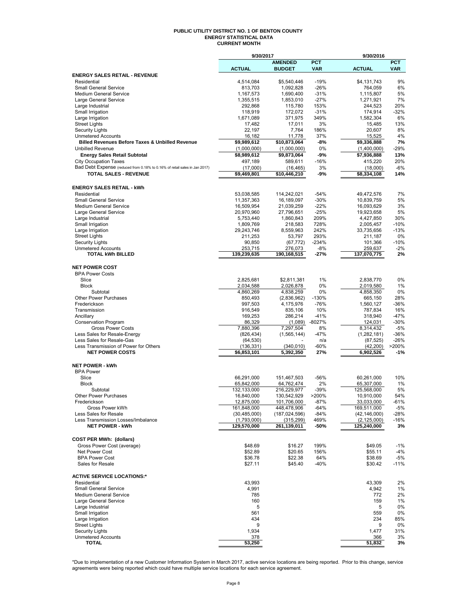#### **PUBLIC UTILITY DISTRICT NO. 1 OF BENTON COUNTY ENERGY STATISTICAL DATA CURRENT MONTH**

|                                                                            | 9/30/2017                  |                           |               | 9/30/2016                    |               |
|----------------------------------------------------------------------------|----------------------------|---------------------------|---------------|------------------------------|---------------|
|                                                                            |                            | <b>AMENDED</b>            | <b>PCT</b>    |                              | <b>PCT</b>    |
|                                                                            | <b>ACTUAL</b>              | <b>BUDGET</b>             | <b>VAR</b>    | <b>ACTUAL</b>                | VAR           |
| <b>ENERGY SALES RETAIL - REVENUE</b><br>Residential                        | 4,514,084                  |                           | $-19%$        |                              | 9%            |
| <b>Small General Service</b>                                               | 813,703                    | \$5,540,446<br>1,092,828  | $-26%$        | \$4,131,743<br>764,059       | 6%            |
| Medium General Service                                                     | 1,167,573                  | 1,690,400                 | $-31%$        | 1,115,807                    | 5%            |
| Large General Service                                                      | 1,355,515                  | 1,853,010                 | $-27%$        | 1,271,921                    | 7%            |
| Large Industrial                                                           | 292,868                    | 115.780                   | 153%          | 244,523                      | 20%           |
| Small Irrigation                                                           | 118,919                    | 172,072                   | $-31%$        | 174,914                      | $-32%$        |
| Large Irrigation                                                           | 1,671,089                  | 371,975                   | 349%          | 1,582,304                    | 6%            |
| <b>Street Lights</b>                                                       | 17,482                     | 17,011                    | 3%            | 15,485                       | 13%           |
| <b>Security Lights</b>                                                     | 22,197                     | 7,764                     | 186%          | 20,607                       | 8%            |
| <b>Unmetered Accounts</b>                                                  | 16,182                     | 11,778                    | 37%           | 15,525                       | 4%            |
| <b>Billed Revenues Before Taxes &amp; Unbilled Revenue</b>                 | \$9,989,612                | \$10,873,064              | -8%           | \$9,336,888                  | 7%            |
| <b>Unbilled Revenue</b>                                                    | (1,000,000)                | (1,000,000)               | 0%            | (1,400,000)                  | $-29%$        |
| <b>Energy Sales Retail Subtotal</b>                                        | \$8,989,612                | \$9,873,064               | -9%           | \$7,936,888                  | 13%           |
| <b>City Occupation Taxes</b>                                               | 497,189                    | 589,611                   | $-16%$        | 415,220                      | 20%           |
| Bad Debt Expense (reduced from 0.18% to 0.16% of retail sales in Jan 2017) | (17,000)                   | (16, 465)                 | 3%            | (18,000)                     | $-6%$         |
| <b>TOTAL SALES - REVENUE</b>                                               | \$9,469,801                | \$10,446,210              | -9%           | \$8,334,108                  | 14%           |
| <b>ENERGY SALES RETAIL - kWh</b>                                           |                            |                           |               |                              |               |
| Residential                                                                | 53,038,585                 | 114,242,021               | $-54%$        | 49,472,576                   | 7%            |
| <b>Small General Service</b>                                               | 11,357,363                 | 16,189,097                | $-30%$        | 10,839,759                   | 5%            |
| <b>Medium General Service</b>                                              | 16,509,954                 | 21,039,259                | $-22%$        | 16,093,629                   | 3%            |
| Large General Service                                                      | 20,970,960                 | 27,796,651                | $-25%$        | 19,923,658                   | 5%            |
| Large Industrial                                                           | 5,753,440                  | 1,860,843                 | 209%          | 4,427,850                    | 30%           |
| Small Irrigation                                                           | 1,809,769                  | 218,583                   | 728%          | 2,005,457                    | $-10%$        |
| Large Irrigation                                                           | 29,243,746                 | 8,559,963                 | 242%          | 33,735,656                   | $-13%$        |
| <b>Street Lights</b>                                                       | 211,253                    | 53,797                    | 293%          | 211,187                      | 0%            |
| <b>Security Lights</b>                                                     | 90,850                     | (67, 772)                 | $-234%$       | 101,366                      | $-10%$        |
| <b>Unmetered Accounts</b>                                                  | 253,715                    | 276,073                   | $-8%$         | 259,637                      | $-2%$         |
| <b>TOTAL kWh BILLED</b>                                                    | 139,239,635                | 190,168,515               | $-27%$        | 137,070,775                  | 2%            |
| <b>NET POWER COST</b>                                                      |                            |                           |               |                              |               |
| <b>BPA Power Costs</b>                                                     |                            |                           |               |                              |               |
| Slice                                                                      | 2,825,681                  | \$2,811,381               | 1%            | 2,838,770                    | 0%            |
| <b>Block</b>                                                               | 2,034,588                  | 2,026,878                 | 0%            | 2,019,580                    | 1%            |
| Subtotal                                                                   | 4,860,269                  | 4,838,259                 | 0%            | 4,858,350                    | 0%            |
| <b>Other Power Purchases</b>                                               | 850,493                    | (2,836,962)               | $-130%$       | 665,150                      | 28%           |
| Frederickson                                                               | 997,503                    | 4,175,976                 | $-76%$        | 1,560,127                    | -36%          |
| Transmission                                                               | 916,549                    | 835,106                   | 10%           | 787,834                      | 16%           |
| Ancillary                                                                  | 169,253                    | 286,214                   | $-41%$        | 318,940                      | $-47%$        |
| <b>Conservation Program</b>                                                | 86,329                     | (1,089)                   | -8027%        | 124,031                      | $-30%$        |
| <b>Gross Power Costs</b>                                                   | 7,880,396                  | 7,297,504                 | 8%            | 8,314,432                    | $-5%$         |
| Less Sales for Resale-Energy                                               | (826, 434)                 | (1, 565, 144)             | $-47%$        | (1, 282, 181)                | $-36%$        |
| Less Sales for Resale-Gas                                                  | (64, 530)                  |                           | n/a           | (87, 525)                    | -26%          |
| Less Transmission of Power for Others                                      | (136, 331)                 | (340, 010)                | -60%          | (42, 200)                    | >200%         |
| <b>NET POWER COSTS</b>                                                     | \$6,853,101                | 5,392,350                 | 27%           | 6,902,526                    | $-1%$         |
| <b>NET POWER - kWh</b>                                                     |                            |                           |               |                              |               |
| <b>BPA Power</b>                                                           |                            |                           |               |                              |               |
| Slice                                                                      | 66,291,000                 | 151,467,503               | $-56%$        | 60,261,000                   | 10%           |
| <b>Block</b>                                                               | 65,842,000                 | 64,762,474                | 2%            | 65,307,000                   | 1%            |
| Subtotal                                                                   | 132, 133, 000              | 216,229,977               | $-39%$        | 125.568.000                  | 5%            |
| Other Power Purchases                                                      | 16,840,000                 | 130,542,929               | 200%          | 10,910,000                   | 54%           |
| Frederickson                                                               | 12,875,000                 | 101,706,000               | $-87%$        | 33,033,000                   | $-61%$        |
| Gross Power kWh                                                            | 161,848,000                | 448,478,906               | $-64%$        | 169,511,000                  | -5%           |
| Less Sales for Resale                                                      | (30, 485, 000)             | (187, 024, 596)           | $-84%$        | (42, 146, 000)               | -28%          |
| Less Transmission Losses/Imbalance<br><b>NET POWER - kWh</b>               | (1,793,000)<br>129,570,000 | (315, 299)<br>261,139,011 | 469%<br>-50%  | (2, 125, 000)<br>125,240,000 | $-16%$<br>3%  |
|                                                                            |                            |                           |               |                              |               |
| <b>COST PER MWh: (dollars)</b>                                             |                            |                           |               |                              |               |
| Gross Power Cost (average)                                                 | \$48.69                    | \$16.27                   | 199%          | \$49.05                      | $-1%$         |
| Net Power Cost                                                             | \$52.89                    | \$20.65                   | 156%          | \$55.11                      | -4%           |
| <b>BPA Power Cost</b><br>Sales for Resale                                  | \$36.78<br>\$27.11         | \$22.38<br>\$45.40        | 64%<br>$-40%$ | \$38.69<br>\$30.42           | -5%<br>$-11%$ |
|                                                                            |                            |                           |               |                              |               |
| <b>ACTIVE SERVICE LOCATIONS:*</b><br>Residential                           | 43,993                     |                           |               | 43,309                       | 2%            |
| <b>Small General Service</b>                                               | 4,991                      |                           |               | 4,942                        | 1%            |
| <b>Medium General Service</b>                                              | 785                        |                           |               | 772                          | 2%            |
| Large General Service                                                      | 160                        |                           |               | 159                          | 1%            |
| Large Industrial                                                           | 5                          |                           |               | 5                            | 0%            |
|                                                                            | 561                        |                           |               | 559                          | 0%            |
| Small Irrigation                                                           | 434                        |                           |               | 234                          | 85%           |
| Large Irrigation<br><b>Street Lights</b>                                   | 9                          |                           |               | 9                            | 0%            |
| <b>Security Lights</b>                                                     | 1,934                      |                           |               | 1,477                        | 31%           |
| <b>Unmetered Accounts</b>                                                  | 378                        |                           |               | 366                          | 3%            |
| <b>TOTAL</b>                                                               | 53,250                     |                           |               | 51,832                       | 3%            |

\*Due to implementation of a new Customer Information System in March 2017, active service locations are being reported. Prior to this change, service<br>agreements were being reported which could have multiple service locati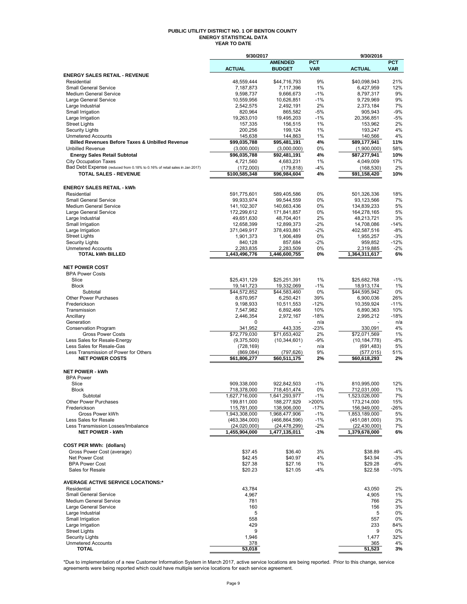#### **PUBLIC UTILITY DISTRICT NO. 1 OF BENTON COUNTY ENERGY STATISTICAL DATA YEAR TO DATE**

|                                                                            | 9/30/2017                    |                              |               | 9/30/2016                    |               |
|----------------------------------------------------------------------------|------------------------------|------------------------------|---------------|------------------------------|---------------|
|                                                                            |                              | <b>AMENDED</b>               | <b>PCT</b>    |                              | <b>PCT</b>    |
| <b>ENERGY SALES RETAIL - REVENUE</b>                                       | <b>ACTUAL</b>                | <b>BUDGET</b>                | <b>VAR</b>    | <b>ACTUAL</b>                | <b>VAR</b>    |
| Residential                                                                | 48,559,444                   | \$44,716,793                 | 9%            | \$40,098,943                 | 21%           |
| <b>Small General Service</b>                                               | 7,187,873                    | 7,117,396                    | 1%            | 6,427,959                    | 12%           |
| <b>Medium General Service</b>                                              | 9,598,737                    | 9,666,673                    | $-1%$         | 8,797,317                    | 9%            |
| Large General Service                                                      | 10,559,956                   | 10,626,851                   | $-1%$         | 9,729,969                    | 9%            |
| Large Industrial                                                           | 2,542,575                    | 2,492,191                    | 2%            | 2,373,184                    | 7%            |
| Small Irrigation                                                           | 820,964                      | 865,582                      | -5%           | 905,943                      | -9%           |
| Large Irrigation                                                           | 19,263,010                   | 19,495,203                   | -1%           | 20,356,851                   | $-5%$         |
| <b>Street Lights</b><br><b>Security Lights</b>                             | 157,335                      | 156,515                      | 1%<br>1%      | 153,962                      | 2%<br>4%      |
| <b>Unmetered Accounts</b>                                                  | 200,256<br>145,638           | 199,124<br>144,863           | 1%            | 193,247<br>140,566           | 4%            |
| <b>Billed Revenues Before Taxes &amp; Unbilled Revenue</b>                 | \$99,035,788                 | \$95,481,191                 | 4%            | \$89,177,941                 | 11%           |
| <b>Unbilled Revenue</b>                                                    | (3,000,000)                  | (3,000,000)                  | 0%            | (1,900,000)                  | 58%           |
| <b>Energy Sales Retail Subtotal</b>                                        | \$96,035,788                 | \$92,481,191                 | 4%            | \$87,277,941                 | 10%           |
| <b>City Occupation Taxes</b>                                               | 4,721,560                    | 4,683,231                    | 1%            | 4,049,009                    | 17%           |
| Bad Debt Expense (reduced from 0.18% to 0.16% of retail sales in Jan 2017) | (172,000)                    | (179, 818)                   | -4%           | (168, 530)                   | 2%            |
| <b>TOTAL SALES - REVENUE</b>                                               | \$100,585,348                | \$96,984,604                 | 4%            | \$91,158,420                 | 10%           |
| <b>ENERGY SALES RETAIL - kWh</b>                                           |                              |                              |               |                              |               |
| Residential                                                                | 591,775,601                  | 589,405,586                  | 0%            | 501,326,336                  | 18%           |
| <b>Small General Service</b>                                               | 99,933,974                   | 99,544,559                   | 0%            | 93,123,566                   | 7%            |
| <b>Medium General Service</b>                                              | 141,102,307                  | 140,663,436                  | 0%            | 134,839,233                  | 5%            |
| Large General Service                                                      | 172,299,612                  | 171,841,857                  | 0%            | 164,278,165                  | 5%            |
| Large Industrial                                                           | 49,651,630                   | 48,704,401                   | 2%            | 48,213,721                   | 3%            |
| Small Irrigation                                                           | 12,658,399                   | 12,899,373                   | $-2%$         | 14,708,086                   | $-14%$        |
| Large Irrigation                                                           | 371,049,917                  | 378,493,861                  | $-2%$         | 402,587,516                  | $-8%$         |
| <b>Street Lights</b><br><b>Security Lights</b>                             | 1,901,373                    | 1,906,489                    | 0%<br>$-2%$   | 1,955,257<br>959,852         | $-3%$<br>-12% |
| <b>Unmetered Accounts</b>                                                  | 840,128<br>2,283,835         | 857,684<br>2,283,509         | 0%            | 2,319,885                    | $-2%$         |
| <b>TOTAL kWh BILLED</b>                                                    | 1,443,496,776                | 1,446,600,755                | 0%            | 1,364,311,617                | 6%            |
| <b>NET POWER COST</b>                                                      |                              |                              |               |                              |               |
| <b>BPA Power Costs</b>                                                     |                              |                              |               |                              |               |
| Slice                                                                      | \$25,431,129                 | \$25,251,391                 | 1%            | \$25,682,768                 | $-1%$         |
| <b>Block</b>                                                               | 19,141,723                   | 19,332,069                   | $-1%$         | 18,913,174                   | 1%            |
| Subtotal                                                                   | \$44,572,852                 | \$44,583,460                 | 0%            | \$44,595,942                 | 0%            |
| <b>Other Power Purchases</b>                                               | 8,670,957                    | 6,250,421                    | 39%           | 6,900,036                    | 26%           |
| Frederickson                                                               | 9,198,933                    | 10,511,553                   | $-12%$        | 10,359,924                   | $-11%$        |
| Transmission<br>Ancillary                                                  | 7,547,982<br>2,446,354       | 6,892,466<br>2,972,167       | 10%<br>$-18%$ | 6,890,363<br>2,995,212       | 10%<br>$-18%$ |
| Generation                                                                 | 0                            |                              | n/a           |                              | n/a           |
| <b>Conservation Program</b>                                                | 341,952                      | 443,335                      | $-23%$        | 330,091                      | 4%            |
| <b>Gross Power Costs</b>                                                   | \$72,779,030                 | \$71,653,402                 | 2%            | \$72,071,569                 | 1%            |
| Less Sales for Resale-Energy                                               | (9,375,500)                  | (10, 344, 601)               | -9%           | (10, 184, 778)               | -8%           |
| Less Sales for Resale-Gas                                                  | (728, 169)                   |                              | n/a           | (691, 483)                   | 5%            |
| Less Transmission of Power for Others                                      | (869, 084)                   | (797,626)                    | 9%            | (577, 015)                   | 51%           |
| <b>NET POWER COSTS</b>                                                     | \$61,806,277                 | \$60,511,175                 | 2%            | \$60,618,293                 | 2%            |
| <b>NET POWER - kWh</b>                                                     |                              |                              |               |                              |               |
| <b>BPA Power</b>                                                           |                              |                              |               |                              |               |
| Slice                                                                      | 909,338,000                  | 922,842,503                  | -1%           | 810,995,000                  | 12%           |
| <b>Block</b><br>Subtotal                                                   | 718,378,000<br>1,627,716,000 | 718,451,474<br>1,641,293,977 | 0%<br>$-1%$   | 712,031,000<br>1,523,026,000 | 1%<br>7%      |
| Other Power Purchases                                                      | 199,811,000                  | 188,277,929                  | >200%         | 173,214,000                  | 15%           |
| Frederickson                                                               | 115,781,000                  | 138,906,000                  | $-17%$        | 156,949,000                  | -26%          |
| Gross Power kWh                                                            | 1,943,308,000                | 1,968,477,906                | $-1%$         | 1,853,189,000                | 5%            |
| Less Sales for Resale                                                      | (463, 384, 000)              | (466, 864, 596)              | -1%           | (451,081,000)                | 3%            |
| Less Transmission Losses/Imbalance                                         | (24,020,000)                 | (24, 478, 299)               | $-2\%$        | (22, 430, 000)               | 7%            |
| <b>NET POWER - kWh</b>                                                     | 1,455,904,000                | 1,477,135,011                | -1%           | 1,379,678,000                | 6%            |
| <b>COST PER MWh: (dollars)</b>                                             |                              |                              |               |                              |               |
| Gross Power Cost (average)                                                 | \$37.45                      | \$36.40                      | 3%            | \$38.89                      | -4%           |
| Net Power Cost                                                             | \$42.45                      | \$40.97                      | 4%            | \$43.94                      | -3%           |
| <b>BPA Power Cost</b><br>Sales for Resale                                  | \$27.38<br>\$20.23           | \$27.16<br>\$21.05           | 1%<br>-4%     | \$29.28<br>\$22.58           | -6%<br>$-10%$ |
|                                                                            |                              |                              |               |                              |               |
| <b>AVERAGE ACTIVE SERVICE LOCATIONS:*</b><br>Residential                   | 43,784                       |                              |               | 43,050                       | 2%            |
| <b>Small General Service</b>                                               | 4,967                        |                              |               | 4,905                        | 1%            |
| Medium General Service                                                     | 781                          |                              |               | 766                          | 2%            |
| Large General Service                                                      | 160                          |                              |               | 156                          | 3%            |
| Large Industrial                                                           | 5                            |                              |               | 5                            | 0%            |
| Small Irrigation                                                           | 558                          |                              |               | 557                          | 0%            |
| Large Irrigation                                                           | 429                          |                              |               | 233                          | 84%           |
| <b>Street Lights</b><br><b>Security Lights</b>                             | 9<br>1,946                   |                              |               | 9<br>1,477                   | 0%<br>32%     |
| <b>Unmetered Accounts</b>                                                  | 378                          |                              |               | 365                          | 4%            |
| <b>TOTAL</b>                                                               | 53,018                       |                              |               | 51,523                       | 3%            |
|                                                                            |                              |                              |               |                              |               |

\*Due to implementation of a new Customer Information System in March 2017, active service locations are being reported. Prior to this change, service<br>agreements were being reported which could have multiple service locati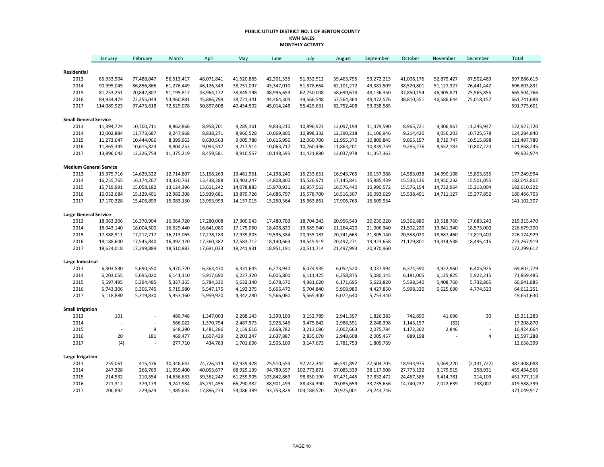#### **PUBLIC UTILITY DISTRICT NO. 1 OF BENTON COUNTY KWH SALES MONTHLY ACTIVITY**

|                               | January        | February       | March      | April      | May        | June        | July        | August     | September  | October    | November   | December       | Total       |
|-------------------------------|----------------|----------------|------------|------------|------------|-------------|-------------|------------|------------|------------|------------|----------------|-------------|
| Residential                   |                |                |            |            |            |             |             |            |            |            |            |                |             |
| 2013                          | 85,933,904     | 77,488,047     | 56,513,417 | 48,071,841 | 41,520,865 | 42,301,535  | 51,932,912  | 59,463,795 | 53,272,213 | 41,006,176 | 52,879,427 | 87,502,483     | 697,886,615 |
| 2014                          | 90,995,045     | 86,856,866     | 61,276,449 | 46,126,349 | 38,751,097 | 43,347,010  | 51,878,664  | 62,101,272 | 49,381,509 | 38,520,801 | 51,127,327 | 76,441,442     | 696,803,831 |
| 2015                          | 81,753,251     | 70,842,807     | 51,195,817 | 43,964,172 | 38,845,198 | 48,995,659  | 62,750,008  | 58,699,674 | 48,136,350 | 37,850,154 | 46,905,821 | 75,565,855     | 665,504,766 |
| 2016                          | 89,934,474     | 72,255,049     | 53,460,881 | 45,886,799 | 38,721,341 | 44,464,304  | 49,566,548  | 57,564,364 | 49,472,576 | 38,810,551 | 46,586,644 | 75,018,157     | 661,741,688 |
| 2017                          | 114,089,923    | 97,473,618     | 72,629,078 | 50,897,608 | 40,454,502 | 45,014,248  | 55,425,631  | 62,752,408 | 53,038,585 |            |            |                | 591,775,601 |
| <b>Small General Service</b>  |                |                |            |            |            |             |             |            |            |            |            |                |             |
| 2013                          | 11,394,724     | 10,700,711     | 8,862,866  | 8,958,701  | 9,285,161  | 9,833,210   | 10,896,923  | 12,097,199 | 11,379,590 | 8,965,721  | 9,306,967  | 11,245,947     | 122,927,720 |
| 2014                          | 12,002,884     | 11,773,687     | 9,247,968  | 8,838,271  | 8,960,528  | 10,069,805  | 10,898,332  | 12,390,218 | 11,106,946 | 9,214,420  | 9,056,203  | 10,725,578     | 124,284,840 |
| 2015                          | 11,273,647     | 10,444,066     | 8,399,963  | 8,630,563  | 9,005,788  | 10,616,996  | 12,060,700  | 11,955,370 | 10,809,845 | 9,065,197  | 8,719,747  | 10,515,898     | 121,497,780 |
| 2016                          | 11,865,345     | 10,615,824     | 8,804,253  | 9,093,517  | 9,217,514  | 10,063,717  | 10,760,436  | 11,863,201 | 10,839,759 | 9,285,276  | 8,652,183  | 10,807,220     | 121,868,245 |
| 2017                          | 13,896,042     | 12,326,759     | 11,375,219 | 8,459,581  | 8,910,557  | 10,148,595  | 11,421,880  | 12,037,978 | 11,357,363 |            |            |                | 99,933,974  |
| <b>Medium General Service</b> |                |                |            |            |            |             |             |            |            |            |            |                |             |
| 2013                          | 15,375,716     | 14,629,522     | 12,714,807 | 13,158,263 | 13,461,961 | 14,198,240  | 15,233,651  | 16,943,765 | 16,157,388 | 14,583,038 | 14,990,108 | 15,803,535     | 177,249,994 |
| 2014                          | 16,255,765     | 16,174,267     | 13,320,761 | 13,438,288 | 13,403,247 | 14,808,800  | 15,526,971  | 17,145,841 | 15,985,439 | 15,533,136 | 14,950,232 | 15,501,055     | 182,043,802 |
| 2015                          | 15,719,991     | 15,058,182     | 13,124,396 | 13,611,242 | 14,078,883 | 15,970,931  | 16,957,563  | 16,576,440 | 15,990,572 | 15,576,154 | 14,732,964 | 15,213,004     | 182,610,322 |
| 2016                          | 16,032,684     | 15,129,401     | 12,982,308 | 13,939,681 | 13,879,726 | 14,686,797  | 15,578,700  | 16,516,307 | 16,093,629 | 15,538,491 | 14,711,127 | 15,377,852     | 180,466,703 |
| 2017                          | 17,170,328     | 15,406,899     | 15,083,130 | 13,953,993 | 14,157,015 | 15,250,364  | 15,663,861  | 17,906,763 | 16,509,954 |            |            |                | 141,102,307 |
| <b>Large General Service</b>  |                |                |            |            |            |             |             |            |            |            |            |                |             |
| 2013                          | 18,363,206     | 16,370,904     | 16,064,720 | 17,280,008 | 17,300,043 | 17,480,703  | 18,704,243  | 20,956,543 | 20,230,220 | 19,362,880 | 19,518,760 | 17,683,240     | 219,315,470 |
| 2014                          | 18,043,140     | 18,004,500     | 16,529,440 | 16,641,080 | 17,175,060 | 18,408,820  | 19,689,940  | 21,264,420 | 21,006,340 | 21,502,220 | 19,841,340 | 18,573,000     | 226,679,300 |
| 2015                          | 17,888,911     | 17,212,717     | 16,213,065 | 17,278,183 | 17,939,803 | 19,595,384  | 20,935,183  | 20,741,663 | 21,305,140 | 20,558,020 | 18,687,460 | 17,819,400     | 226,174,929 |
| 2016                          | 18,188,600     | 17,545,840     | 16,492,120 | 17,360,382 | 17,583,712 | 18,140,663  | 18,545,919  | 20,497,271 | 19,923,658 | 21,179,801 | 19,314,538 | 18,495,415     | 223,267,919 |
| 2017                          | 18,624,018     | 17,299,889     | 18,510,883 | 17,691,033 | 18,241,931 | 18,951,191  | 20,511,714  | 21,497,993 | 20,970,960 |            |            |                | 172,299,612 |
| Large Industrial              |                |                |            |            |            |             |             |            |            |            |            |                |             |
| 2013                          | 6,303,530      | 5,690,550      | 5,970,720  | 6,363,470  | 6,331,645  | 6,273,940   | 6,074,935   | 6,052,520  | 3,037,994  | 6,374,590  | 4,922,960  | 6,405,925      | 69,802,779  |
| 2014                          | 6,203,055      | 5,695,020      | 6,141,110  | 5,917,690  | 6,227,320  | 6,005,800   | 6,111,425   | 6,258,875  | 5,080,145  | 6,181,005  | 6,125,825  | 5,922,215      | 71,869,485  |
| 2015                          | 5,597,495      | 5,394,485      | 5,337,365  | 5,784,330  | 5,632,340  | 5,678,570   | 4,981,620   | 6,171,695  | 5,623,820  | 5,598,540  | 5,408,760  | 5,732,865      | 66,941,885  |
| 2016                          | 5,743,306      | 5,306,745      | 5,715,980  | 5,547,175  | 4,192,375  | 5,666,470   | 5,704,840   | 5,908,980  | 4,427,850  | 5,998,320  | 5,625,690  | 4,774,520      | 64,612,251  |
| 2017                          | 5,118,880      | 5,319,830      | 5,953,160  | 5,959,920  | 4,342,280  | 5,566,080   | 5,565,400   | 6,072,640  | 5,753,440  |            |            |                | 49,651,630  |
| <b>Small Irrigation</b>       |                |                |            |            |            |             |             |            |            |            |            |                |             |
| 2013                          | 101            | $\overline{a}$ | 480,748    | 1,347,003  | 2,288,143  | 2,390,103   | 3,152,789   | 2,941,397  | 1,826,383  | 742,890    | 41,696     | 30             | 15,211,283  |
| 2014                          |                | $\overline{a}$ | 566,022    | 1,370,794  | 2,487,573  | 2,926,545   | 3,475,842   | 2,988,591  | 2,248,398  | 1,145,157  | (52)       | $\overline{a}$ | 17,208,870  |
| 2015                          | $\overline{a}$ | 9              | 648,290    | 1,481,286  | 2,159,616  | 2,668,782   | 3,213,086   | 3,002,663  | 2,075,784  | 1,172,302  | 2,846      | $\overline{a}$ | 16,424,664  |
| 2016                          | 20             | 181            | 469,477    | 1,607,439  | 2,203,347  | 2,637,887   | 2,835,670   | 2,948,608  | 2,005,457  | 889,198    |            | 4              | 15,597,288  |
| 2017                          | (4)            |                | 277,710    | 434,783    | 1,701,606  | 2,505,109   | 3,147,673   | 2,781,753  | 1,809,769  |            |            |                | 12,658,399  |
| <b>Large Irrigation</b>       |                |                |            |            |            |             |             |            |            |            |            |                |             |
| 2013                          | 259,061        | 415,476        | 10,346,643 | 24,726,514 | 62,939,428 | 75,510,554  | 97,242,342  | 66,591,892 | 27,504,705 | 18,933,975 | 5,069,220  | (2, 131, 722)  | 387,408,088 |
| 2014                          | 247,328        | 266,769        | 11,959,400 | 40,053,677 | 68,929,139 | 94,789,557  | 102,773,871 | 67,085,339 | 38,117,908 | 27,773,132 | 3,179,515  | 258,931        | 455,434,566 |
| 2015                          | 214,532        | 210,554        | 14,636,633 | 39,362,242 | 61,259,905 | 103,842,869 | 98,850,190  | 67,471,445 | 37,832,472 | 24,467,386 | 3,414,781  | 214,109        | 451,777,118 |
| 2016                          | 221,312        | 379,179        | 9,247,984  | 45,291,455 | 66,290,382 | 88,901,499  | 88,434,390  | 70,085,659 | 33,735,656 | 14,740,237 | 2,022,639  | 238,007        | 419,588,399 |
| 2017                          | 200,892        | 229,629        | 1,485,633  | 17,886,279 | 54,086,389 | 93,753,828  | 103,188,520 | 70,975,001 | 29,243,746 |            |            |                | 371,049,917 |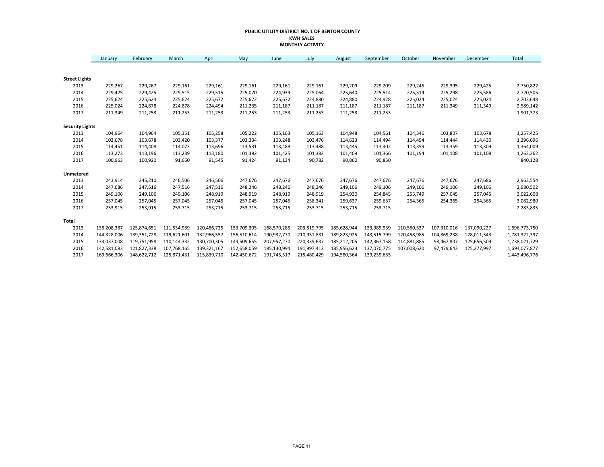#### **PUBLIC UTILITY DISTRICT NO. 1 OF BENTON COUNTY KWH SALES MONTHLY ACTIVITY**

|                        | January     | February    | March       | April       | May         | June        | July        | August      | September   | October     | November    | December    | Total         |
|------------------------|-------------|-------------|-------------|-------------|-------------|-------------|-------------|-------------|-------------|-------------|-------------|-------------|---------------|
|                        |             |             |             |             |             |             |             |             |             |             |             |             |               |
| <b>Street Lights</b>   |             |             |             |             |             |             |             |             |             |             |             |             |               |
| 2013                   | 229,267     | 229,267     | 229,161     | 229,161     | 229,161     | 229,161     | 229,161     | 229,209     | 229,209     | 229,245     | 229,395     | 229,425     | 2,750,822     |
| 2014                   | 229,425     | 229,425     | 229,515     | 229,515     | 225,070     | 224,939     | 225,064     | 225,640     | 225,514     | 225,514     | 225,298     | 225,586     | 2,720,505     |
| 2015                   | 225,624     | 225,624     | 225,624     | 225,672     | 225,672     | 225,672     | 224,880     | 224,880     | 224,928     | 225,024     | 225,024     | 225,024     | 2,703,648     |
| 2016                   | 225,024     | 224,878     | 224,878     | 224,494     | 211,235     | 211,187     | 211,187     | 211,187     | 211,187     | 211,187     | 211,349     | 211,349     | 2,589,142     |
| 2017                   | 211,349     | 211,253     | 211,253     | 211,253     | 211,253     | 211,253     | 211,253     | 211,253     | 211,253     |             |             |             | 1,901,373     |
| <b>Security Lights</b> |             |             |             |             |             |             |             |             |             |             |             |             |               |
| 2013                   | 104,964     | 104,964     | 105,351     | 105,258     | 105,222     | 105,163     | 105,163     | 104,948     | 104,561     | 104,346     | 103,807     | 103,678     | 1,257,425     |
| 2014                   | 103,678     | 103,678     | 103,420     | 103,377     | 103,334     | 103,248     | 103,476     | 114,623     | 114,494     | 114,494     | 114,444     | 114,430     | 1,296,696     |
| 2015                   | 114,451     | 114,408     | 114,073     | 113,696     | 113,531     | 113,488     | 113,488     | 113,445     | 113,402     | 113,359     | 113,359     | 113,309     | 1,364,009     |
| 2016                   | 113,273     | 113,196     | 113,239     | 113,180     | 101,382     | 101,425     | 101,382     | 101,409     | 101,366     | 101,194     | 101,108     | 101,108     | 1,263,262     |
| 2017                   | 100,963     | 100,920     | 91,650      | 91,545      | 91,424      | 91,134      | 90,782      | 90,860      | 90,850      |             |             |             | 840,128       |
| Unmetered              |             |             |             |             |             |             |             |             |             |             |             |             |               |
| 2013                   | 243,914     | 245,210     | 246,506     | 246,506     | 247,676     | 247,676     | 247,676     | 247,676     | 247,676     | 247,676     | 247,676     | 247,686     | 2,963,554     |
| 2014                   | 247,686     | 247,516     | 247,516     | 247,516     | 248,246     | 248,246     | 248,246     | 249,106     | 249,106     | 249,106     | 249,106     | 249,106     | 2,980,502     |
| 2015                   | 249,106     | 249,106     | 249,106     | 248,919     | 248,919     | 248,919     | 248,919     | 254,930     | 254,845     | 255,749     | 257,045     | 257,045     | 3,022,608     |
| 2016                   | 257,045     | 257,045     | 257,045     | 257,045     | 257,045     | 257,045     | 258,341     | 259,637     | 259,637     | 254,365     | 254,365     | 254,365     | 3,082,980     |
| 2017                   | 253,915     | 253,915     | 253,715     | 253,715     | 253,715     | 253,715     | 253,715     | 253,715     | 253,715     |             |             |             | 2,283,835     |
| Total                  |             |             |             |             |             |             |             |             |             |             |             |             |               |
| 2013                   | 138,208,387 | 125,874,651 | 111,534,939 | 120,486,725 | 153,709,305 | 168,570,285 | 203,819,795 | 185,628,944 | 133,989,939 | 110,550,537 | 107,310,016 | 137,090,227 | 1,696,773,750 |
| 2014                   | 144,328,006 | 139,351,728 | 119,621,601 | 132,966,557 | 156,510,614 | 190,932,770 | 210,931,831 | 189,823,925 | 143,515,799 | 120,458,985 | 104,869,238 | 128,011,343 | 1,781,322,397 |
| 2015                   | 133,037,008 | 119,751,958 | 110,144,332 | 130,700,305 | 149,509,655 | 207,957,270 | 220,335,637 | 185,212,205 | 142,367,158 | 114,881,885 | 98,467,807  | 125,656,509 | 1,738,021,729 |
| 2016                   | 142,581,083 | 121,827,338 | 107,768,165 | 139,321,167 | 152,658,059 | 185,130,994 | 191,997,413 | 185,956,623 | 137,070,775 | 107,008,620 | 97,479,643  | 125,277,997 | 1,694,077,877 |
| 2017                   | 169,666,306 | 148,622,712 | 125,871,431 | 115,839,710 | 142,450,672 | 191,745,517 | 215,480,429 | 194,580,364 | 139,239,635 |             |             |             | 1,443,496,776 |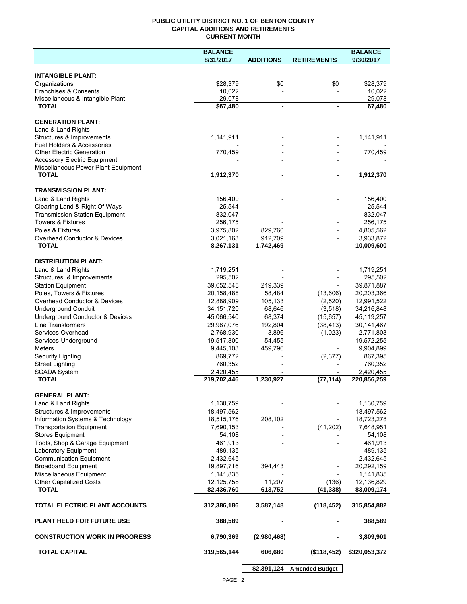## **PUBLIC UTILITY DISTRICT NO. 1 OF BENTON COUNTY CAPITAL ADDITIONS AND RETIREMENTS CURRENT MONTH**

|                                                                        | <b>BALANCE</b>           |                                            |                          | <b>BALANCE</b>           |
|------------------------------------------------------------------------|--------------------------|--------------------------------------------|--------------------------|--------------------------|
|                                                                        | 8/31/2017                | <b>ADDITIONS</b>                           | <b>RETIREMENTS</b>       | 9/30/2017                |
| <b>INTANGIBLE PLANT:</b>                                               |                          |                                            |                          |                          |
| Organizations                                                          | \$28,379                 | \$0                                        | \$0                      | \$28,379                 |
| Franchises & Consents                                                  | 10,022                   |                                            |                          | 10,022                   |
| Miscellaneous & Intangible Plant                                       | 29,078                   | $\overline{\phantom{a}}$                   | $\overline{\phantom{a}}$ | 29,078                   |
| <b>TOTAL</b>                                                           | \$67,480                 | $\blacksquare$                             |                          | 67,480                   |
| <b>GENERATION PLANT:</b>                                               |                          |                                            |                          |                          |
| Land & Land Rights                                                     |                          |                                            |                          |                          |
| Structures & Improvements                                              | 1,141,911                |                                            |                          | 1,141,911                |
| <b>Fuel Holders &amp; Accessories</b>                                  |                          |                                            |                          |                          |
| <b>Other Electric Generation</b>                                       | 770,459                  |                                            |                          | 770,459                  |
| <b>Accessory Electric Equipment</b>                                    |                          |                                            |                          |                          |
| Miscellaneous Power Plant Equipment<br><b>TOTAL</b>                    | 1,912,370                | $\overline{\phantom{a}}$<br>$\blacksquare$ |                          | 1,912,370                |
|                                                                        |                          |                                            |                          |                          |
| <b>TRANSMISSION PLANT:</b>                                             |                          |                                            |                          |                          |
| Land & Land Rights                                                     | 156,400                  |                                            |                          | 156,400                  |
| Clearing Land & Right Of Ways<br><b>Transmission Station Equipment</b> | 25,544                   |                                            |                          | 25,544                   |
| <b>Towers &amp; Fixtures</b>                                           | 832,047<br>256,175       |                                            |                          | 832,047<br>256,175       |
| Poles & Fixtures                                                       | 3,975,802                | 829,760                                    |                          | 4,805,562                |
| Overhead Conductor & Devices                                           | 3,021,163                | 912,709                                    |                          | 3,933,872                |
| <b>TOTAL</b>                                                           | 8,267,131                | 1,742,469                                  | $\blacksquare$           | 10,009,600               |
|                                                                        |                          |                                            |                          |                          |
| <b>DISTRIBUTION PLANT:</b>                                             |                          |                                            |                          |                          |
| Land & Land Rights                                                     | 1,719,251                |                                            |                          | 1,719,251                |
| Structures & Improvements                                              | 295,502                  |                                            |                          | 295,502                  |
| <b>Station Equipment</b><br>Poles, Towers & Fixtures                   | 39,652,548<br>20,158,488 | 219,339<br>58,484                          | (13,606)                 | 39,871,887<br>20,203,366 |
| Overhead Conductor & Devices                                           | 12,888,909               | 105,133                                    | (2,520)                  | 12,991,522               |
| <b>Underground Conduit</b>                                             | 34, 151, 720             | 68,646                                     | (3,518)                  | 34,216,848               |
| Underground Conductor & Devices                                        | 45,066,540               | 68,374                                     | (15, 657)                | 45,119,257               |
| <b>Line Transformers</b>                                               | 29,987,076               | 192,804                                    | (38, 413)                | 30,141,467               |
| Services-Overhead                                                      | 2,768,930                | 3,896                                      | (1,023)                  | 2,771,803                |
| Services-Underground                                                   | 19,517,800               | 54,455                                     |                          | 19,572,255               |
| <b>Meters</b>                                                          | 9,445,103                | 459,796                                    |                          | 9,904,899                |
| Security Lighting                                                      | 869,772                  |                                            | (2, 377)                 | 867,395                  |
| <b>Street Lighting</b>                                                 | 760,352                  |                                            |                          | 760,352                  |
| <b>SCADA System</b>                                                    | 2,420,455                |                                            |                          | 2,420,455                |
| <b>TOTAL</b>                                                           | 219,702,446              | 1,230,927                                  | (77, 114)                | 220,856,259              |
| <b>GENERAL PLANT:</b>                                                  |                          |                                            |                          |                          |
| Land & Land Rights                                                     | 1,130,759                |                                            |                          | 1,130,759                |
| Structures & Improvements                                              | 18,497,562               |                                            |                          | 18,497,562               |
| Information Systems & Technology                                       | 18,515,176               | 208,102                                    |                          | 18,723,278               |
| <b>Transportation Equipment</b>                                        | 7,690,153                |                                            | (41, 202)                | 7,648,951                |
| <b>Stores Equipment</b>                                                | 54,108                   |                                            |                          | 54,108                   |
| Tools, Shop & Garage Equipment                                         | 461,913                  |                                            |                          | 461,913                  |
| Laboratory Equipment                                                   | 489,135                  |                                            |                          | 489,135                  |
| <b>Communication Equipment</b>                                         | 2,432,645                |                                            |                          | 2,432,645                |
| <b>Broadband Equipment</b>                                             | 19,897,716               | 394,443                                    |                          | 20,292,159               |
| Miscellaneous Equipment                                                | 1,141,835                |                                            |                          | 1,141,835                |
| <b>Other Capitalized Costs</b>                                         | 12,125,758               | 11,207                                     | (136)                    | 12,136,829               |
| <b>TOTAL</b>                                                           | 82,436,760               | 613,752                                    | (41, 338)                | 83,009,174               |
| TOTAL ELECTRIC PLANT ACCOUNTS                                          | 312,386,186              | 3,587,148                                  | (118, 452)               | 315,854,882              |
| <b>PLANT HELD FOR FUTURE USE</b>                                       | 388,589                  |                                            |                          | 388,589                  |
| <b>CONSTRUCTION WORK IN PROGRESS</b>                                   | 6,790,369                | (2,980,468)                                |                          | 3,809,901                |
| <b>TOTAL CAPITAL</b>                                                   | 319,565,144              | 606,680                                    | (\$118, 452)             | \$320,053,372            |
|                                                                        |                          |                                            |                          |                          |

**\$2,391,124 Amended Budget**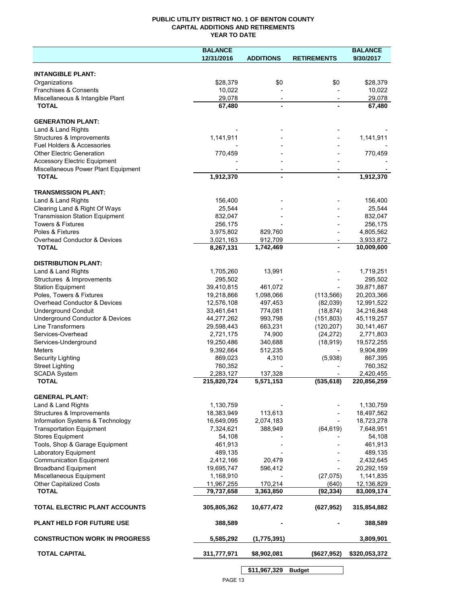# **PUBLIC UTILITY DISTRICT NO. 1 OF BENTON COUNTY CAPITAL ADDITIONS AND RETIREMENTS YEAR TO DATE**

|                                                                            | <b>BALANCE</b> |                  |                    | <b>BALANCE</b> |
|----------------------------------------------------------------------------|----------------|------------------|--------------------|----------------|
|                                                                            | 12/31/2016     | <b>ADDITIONS</b> | <b>RETIREMENTS</b> | 9/30/2017      |
|                                                                            |                |                  |                    |                |
| <b>INTANGIBLE PLANT:</b>                                                   |                |                  |                    |                |
| Organizations                                                              | \$28,379       | \$0              | \$0                | \$28,379       |
| Franchises & Consents                                                      | 10,022         |                  |                    | 10,022         |
| Miscellaneous & Intangible Plant                                           | 29,078         |                  |                    | 29,078         |
| <b>TOTAL</b>                                                               | 67,480         |                  |                    | 67,480         |
|                                                                            |                |                  |                    |                |
| <b>GENERATION PLANT:</b>                                                   |                |                  |                    |                |
| Land & Land Rights                                                         |                |                  |                    |                |
| Structures & Improvements                                                  | 1,141,911      |                  |                    | 1,141,911      |
| Fuel Holders & Accessories                                                 |                |                  |                    |                |
| <b>Other Electric Generation</b>                                           | 770,459        |                  |                    | 770,459        |
| <b>Accessory Electric Equipment</b><br>Miscellaneous Power Plant Equipment |                |                  |                    |                |
| <b>TOTAL</b>                                                               | 1,912,370      |                  |                    | 1,912,370      |
|                                                                            |                |                  |                    |                |
| <b>TRANSMISSION PLANT:</b>                                                 |                |                  |                    |                |
| Land & Land Rights                                                         | 156,400        |                  |                    | 156,400        |
| Clearing Land & Right Of Ways                                              | 25,544         |                  |                    | 25,544         |
| <b>Transmission Station Equipment</b>                                      | 832,047        |                  |                    | 832,047        |
| <b>Towers &amp; Fixtures</b>                                               | 256,175        |                  |                    | 256,175        |
| Poles & Fixtures                                                           | 3,975,802      | 829,760          |                    | 4,805,562      |
| Overhead Conductor & Devices                                               | 3,021,163      | 912,709          |                    | 3,933,872      |
| <b>TOTAL</b>                                                               | 8,267,131      | 1,742,469        |                    | 10,009,600     |
|                                                                            |                |                  |                    |                |
| <b>DISTRIBUTION PLANT:</b>                                                 |                |                  |                    |                |
| Land & Land Rights                                                         | 1,705,260      | 13,991           |                    | 1,719,251      |
| Structures & Improvements                                                  | 295,502        |                  |                    | 295,502        |
| <b>Station Equipment</b>                                                   | 39,410,815     | 461,072          |                    | 39,871,887     |
| Poles, Towers & Fixtures                                                   | 19,218,866     | 1,098,066        | (113, 566)         | 20,203,366     |
| Overhead Conductor & Devices                                               | 12,576,108     | 497,453          | (82,039)           | 12,991,522     |
| <b>Underground Conduit</b>                                                 | 33,461,641     | 774,081          | (18, 874)          | 34,216,848     |
| Underground Conductor & Devices                                            | 44,277,262     | 993,798          | (151, 803)         | 45,119,257     |
| Line Transformers                                                          | 29,598,443     | 663,231          | (120, 207)         | 30,141,467     |
| Services-Overhead                                                          | 2,721,175      | 74,900           | (24, 272)          | 2,771,803      |
| Services-Underground                                                       | 19,250,486     | 340,688          | (18, 919)          | 19,572,255     |
| <b>Meters</b>                                                              | 9,392,664      | 512,235          |                    | 9,904,899      |
| Security Lighting                                                          | 869,023        | 4,310            | (5,938)            | 867,395        |
| <b>Street Lighting</b>                                                     | 760,352        |                  |                    | 760,352        |
| <b>SCADA System</b>                                                        | 2,283,127      | 137,328          |                    | 2,420,455      |
| <b>TOTAL</b>                                                               | 215,820,724    | 5,571,153        | (535, 618)         | 220,856,259    |
|                                                                            |                |                  |                    |                |
| <b>GENERAL PLANT:</b>                                                      |                |                  |                    |                |
| Land & Land Rights                                                         | 1,130,759      |                  |                    | 1,130,759      |
| Structures & Improvements                                                  | 18,383,949     | 113,613          |                    | 18,497,562     |
| Information Systems & Technology                                           | 16,649,095     | 2,074,183        |                    | 18,723,278     |
| <b>Transportation Equipment</b>                                            | 7,324,621      | 388,949          | (64, 619)          | 7,648,951      |
| <b>Stores Equipment</b>                                                    | 54,108         |                  |                    | 54,108         |
| Tools, Shop & Garage Equipment                                             | 461,913        |                  |                    | 461,913        |
| Laboratory Equipment                                                       | 489,135        |                  |                    | 489,135        |
| <b>Communication Equipment</b>                                             | 2,412,166      | 20,479           |                    | 2,432,645      |
| <b>Broadband Equipment</b>                                                 | 19,695,747     | 596,412          |                    | 20,292,159     |
| Miscellaneous Equipment                                                    | 1,168,910      |                  | (27, 075)          | 1,141,835      |
| <b>Other Capitalized Costs</b>                                             | 11,967,255     | 170,214          | (640)              | 12,136,829     |
| <b>TOTAL</b>                                                               | 79,737,658     | 3,363,850        | (92, 334)          | 83,009,174     |
| TOTAL ELECTRIC PLANT ACCOUNTS                                              | 305,805,362    | 10,677,472       | (627, 952)         | 315,854,882    |
| <b>PLANT HELD FOR FUTURE USE</b>                                           | 388,589        |                  |                    | 388,589        |
|                                                                            |                |                  |                    |                |
| <b>CONSTRUCTION WORK IN PROGRESS</b>                                       | 5,585,292      | (1,775,391)      |                    | 3,809,901      |
| <b>TOTAL CAPITAL</b>                                                       | 311,777,971    | \$8,902,081      | (\$627,952)        | \$320,053,372  |
|                                                                            |                | \$11,967,329     | <b>Budget</b>      |                |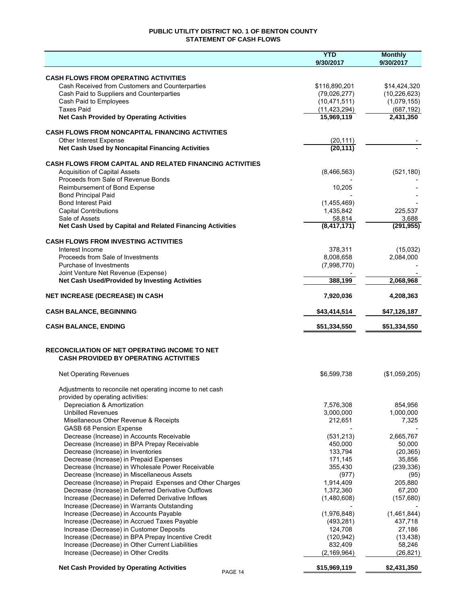# **PUBLIC UTILITY DISTRICT NO. 1 OF BENTON COUNTY STATEMENT OF CASH FLOWS**

|                                                                                                | <b>YTD</b><br>9/30/2017 | <b>Monthly</b><br>9/30/2017 |
|------------------------------------------------------------------------------------------------|-------------------------|-----------------------------|
| <b>CASH FLOWS FROM OPERATING ACTIVITIES</b>                                                    |                         |                             |
| Cash Received from Customers and Counterparties                                                | \$116,890,201           | \$14,424,320                |
| Cash Paid to Suppliers and Counterparties                                                      | (79,026,277)            | (10, 226, 623)              |
| Cash Paid to Employees                                                                         | (10, 471, 511)          | (1,079,155)                 |
| <b>Taxes Paid</b>                                                                              | (11, 423, 294)          | (687, 192)                  |
| <b>Net Cash Provided by Operating Activities</b>                                               | 15,969,119              | 2,431,350                   |
| <b>CASH FLOWS FROM NONCAPITAL FINANCING ACTIVITIES</b>                                         |                         |                             |
| Other Interest Expense                                                                         | (20, 111)               |                             |
| Net Cash Used by Noncapital Financing Activities                                               | (20, 111)               |                             |
| <b>CASH FLOWS FROM CAPITAL AND RELATED FINANCING ACTIVITIES</b>                                |                         |                             |
| <b>Acquisition of Capital Assets</b>                                                           | (8,466,563)             | (521, 180)                  |
| Proceeds from Sale of Revenue Bonds                                                            |                         |                             |
| Reimbursement of Bond Expense                                                                  | 10,205                  |                             |
| <b>Bond Principal Paid</b><br><b>Bond Interest Paid</b>                                        | (1,455,469)             |                             |
| <b>Capital Contributions</b>                                                                   | 1,435,842               | 225,537                     |
| Sale of Assets                                                                                 | 58,814                  | 3,688                       |
| Net Cash Used by Capital and Related Financing Activities                                      | (8,417,171)             | (291, 955)                  |
| <b>CASH FLOWS FROM INVESTING ACTIVITIES</b>                                                    |                         |                             |
| Interest Income                                                                                | 378.311                 | (15,032)                    |
| Proceeds from Sale of Investments                                                              | 8,008,658               | 2,084,000                   |
| Purchase of Investments                                                                        | (7,998,770)             |                             |
| Joint Venture Net Revenue (Expense)<br>Net Cash Used/Provided by Investing Activities          | 388,199                 | 2,068,968                   |
|                                                                                                |                         |                             |
| <b>NET INCREASE (DECREASE) IN CASH</b>                                                         | 7,920,036               | 4,208,363                   |
| <b>CASH BALANCE, BEGINNING</b>                                                                 | \$43,414,514            | \$47,126,187                |
| <b>CASH BALANCE, ENDING</b>                                                                    | \$51,334,550            | \$51,334,550                |
| <b>RECONCILIATION OF NET OPERATING INCOME TO NET</b>                                           |                         |                             |
| <b>CASH PROVIDED BY OPERATING ACTIVITIES</b>                                                   |                         |                             |
| <b>Net Operating Revenues</b>                                                                  | \$6,599,738             | (\$1,059,205)               |
| Adjustments to reconcile net operating income to net cash                                      |                         |                             |
| provided by operating activities:                                                              |                         |                             |
| Depreciation & Amortization                                                                    | 7,576,308               | 854,956                     |
| <b>Unbilled Revenues</b>                                                                       | 3,000,000               | 1,000,000                   |
| Misellaneous Other Revenue & Receipts                                                          | 212,651                 | 7,325                       |
| <b>GASB 68 Pension Expense</b><br>Decrease (Increase) in Accounts Receivable                   | (531, 213)              | 2,665,767                   |
| Decrease (Increase) in BPA Prepay Receivable                                                   | 450,000                 | 50,000                      |
| Decrease (Increase) in Inventories                                                             | 133,794                 | (20, 365)                   |
| Decrease (Increase) in Prepaid Expenses                                                        | 171,145                 | 35,856                      |
| Decrease (Increase) in Wholesale Power Receivable                                              | 355,430                 | (239, 336)                  |
| Decrease (Increase) in Miscellaneous Assets                                                    | (977)                   | (95)                        |
| Decrease (Increase) in Prepaid Expenses and Other Charges                                      | 1,914,409               | 205,880                     |
| Decrease (Increase) in Deferred Derivative Outflows                                            | 1,372,360               | 67,200                      |
| Increase (Decrease) in Deferred Derivative Inflows                                             | (1,480,608)             | (157, 680)                  |
| Increase (Decrease) in Warrants Outstanding                                                    |                         |                             |
| Increase (Decrease) in Accounts Payable                                                        | (1,976,848)             | (1,461,844)                 |
| Increase (Decrease) in Accrued Taxes Payable                                                   | (493, 281)              | 437,718                     |
| Increase (Decrease) in Customer Deposits<br>Increase (Decrease) in BPA Prepay Incentive Credit | 124,708<br>(120, 942)   | 27,186<br>(13, 438)         |
| Increase (Decrease) in Other Current Liabilities                                               | 832,409                 | 58,246                      |
| Increase (Decrease) in Other Credits                                                           | (2, 169, 964)           | (26, 821)                   |
| <b>Net Cash Provided by Operating Activities</b><br>PAGE 14                                    | \$15,969,119            | \$2,431,350                 |
|                                                                                                |                         |                             |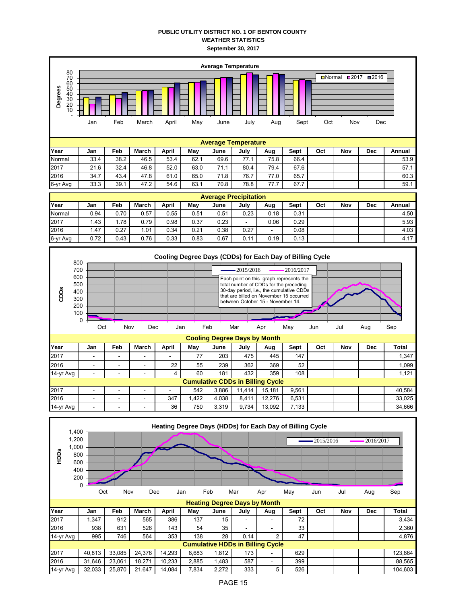# **PUBLIC UTILITY DISTRICT NO. 1 OF BENTON COUNTY WEATHER STATISTICS September 30, 2017**



| 2016      |                                         | - | $\overline{\phantom{0}}$ | 22                       | 55   | 239   | 362    | 369    | 52    |  |  | 1.099  |
|-----------|-----------------------------------------|---|--------------------------|--------------------------|------|-------|--------|--------|-------|--|--|--------|
| 14-yr Avg |                                         |   | -                        |                          | 60   | 181   | 432    | 359    | 108   |  |  | 1.121  |
|           | <b>Cumulative CDDs in Billing Cycle</b> |   |                          |                          |      |       |        |        |       |  |  |        |
| 2017      |                                         |   | -                        | $\overline{\phantom{0}}$ | 542  | 3.886 | 11.414 | 15.181 | 9,561 |  |  | 40.584 |
| 2016      |                                         | - | -                        | 347                      | .422 | 4.038 | 8.411  | 12.276 | 6.531 |  |  | 33.025 |
| 14-yr Avg | -                                       | - |                          | 36                       | 750  | 3.319 | 9.734  | 13.092 | 7.133 |  |  | 34.666 |

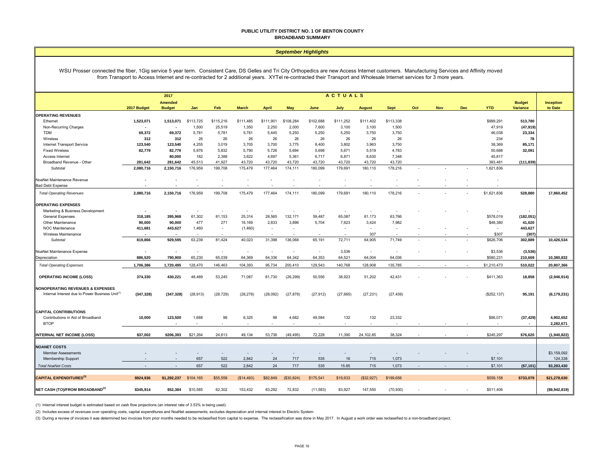#### **PUBLIC UTILITY DISTRICT NO. 1 OF BENTON COUNTY BROADBAND SUMMARY**

#### *September Highlights*

WSU Prosser connected the fiber, 1Gig service 5 year term. Consistent Care, DS Gelles and Tri City Orthopedics are new Access Internet customers. Manufacturing Services and Affinity moved from Transport to Access Internet and re-contracted for 2 additional years. XYTel re-contracted their Transport and Wholesale Internet services for 3 more years.

|                                                                   | ACTUALS<br>2017          |                                 |            |                                 |              |           |            |           |           |                                 |                          |     |            |            |                   |                                  |                             |
|-------------------------------------------------------------------|--------------------------|---------------------------------|------------|---------------------------------|--------------|-----------|------------|-----------|-----------|---------------------------------|--------------------------|-----|------------|------------|-------------------|----------------------------------|-----------------------------|
|                                                                   | 2017 Budget              | <b>Amended</b><br><b>Budget</b> | Jan        | Feb                             | <b>March</b> | April     | May        | June      | July      | <b>August</b>                   | <b>Sept</b>              | Oct | <b>Nov</b> | <b>Dec</b> | <b>YTD</b>        | <b>Budget</b><br><b>Variance</b> | <b>Inception</b><br>to Date |
| <b>OPERATING REVENUES</b>                                         |                          |                                 |            |                                 |              |           |            |           |           |                                 |                          |     |            |            |                   |                                  |                             |
| Ethernet                                                          | 1,523,071                | 1.513.071                       | \$113,725  | \$115,216                       | \$111,485    | \$111,901 | \$108,284  | \$102,688 | \$111,252 | \$111,402                       | \$113,338                |     |            |            | \$999.291         | 513,780                          |                             |
| Non-Recurring Charges                                             | $\overline{\phantom{a}}$ |                                 | 1,500      | 25,519                          | 1,350        | 2,250     | 2,000      | 7,600     | 3,100     | 3,100                           | 1,500                    |     |            |            | 47,919            | (47, 919)                        |                             |
| <b>TDM</b>                                                        | 69,372                   | 69,372                          | 5,781      | 5,781                           | 5,781        | 5,445     | 5,250      | 5,250     | 5,250     | 3,750                           | 3,750                    |     |            |            | 46,038            | 23,334                           |                             |
| Wireless                                                          | 312                      | 312                             | 26         | 26                              | 26           | 26        | 26         | 26        | 26        | 26                              | 26                       |     |            |            | 234               | 78                               |                             |
| Internet Transport Service                                        | 123,540                  | 123,540                         | 4,255      | 3,019                           | 3,705        | 3,700     | 3,775      | 8,400     | 3,802     | 3,963                           | 3,750                    |     |            |            | 38,369            | 85,171                           |                             |
| <b>Fixed Wireless</b>                                             | 82,779                   | 82,779                          | 5,976      | 5,832                           | 5,790        | 5,726     | 5,694      | 5,698     | 5,671     | 5.519                           | 4,783                    |     |            |            | 50,688            | 32,091                           |                             |
| Access Internet                                                   |                          | 80,000                          | 182        | 2,388                           | 3,622        | 4,697     | 5,361      | 6,717     | 6,871     | 8,630                           | 7,348                    |     |            |            | 45,817            |                                  |                             |
| Broadband Revenue - Other                                         | 281,642                  | 281,642                         | 45,513     | 41,927                          | 43,720       | 43,720    | 43,720     | 43,720    | 43,720    | 43,720                          | 43,720                   |     |            |            | 393,481           | (111, 839)                       |                             |
| Subtotal                                                          | 2,080,716                | 2,150,716                       | 176,959    | 199,708                         | 175,479      | 177,464   | 174,111    | 180,099   | 179,691   | 180,110                         | 178,216                  |     |            |            | 1,621,836         |                                  |                             |
| NoaNet Maintenance Revenue                                        |                          |                                 |            |                                 |              |           |            |           |           |                                 |                          |     |            |            |                   |                                  |                             |
| <b>Bad Debt Expense</b>                                           | $\overline{\phantom{a}}$ |                                 |            | $\sim$                          |              |           |            |           |           |                                 | $\overline{\phantom{a}}$ |     |            |            |                   |                                  |                             |
| <b>Total Operating Revenues</b>                                   | 2,080,716                | 2,150,716                       | 176,959    | 199,708                         | 175,479      | 177,464   | 174,111    | 180,099   | 179,691   | 180,110                         | 178,216                  |     |            |            | \$1,621,836       | 528,880                          | 17,860,452                  |
| <b>OPERATING EXPENSES</b><br>Marketing & Business Development     |                          |                                 |            | $\sim$                          |              |           |            |           | $\sim$    | $\sim$                          | $\sim$                   |     |            |            |                   |                                  |                             |
| General Expenses                                                  | 318,185                  | 395,968                         | 61,302     | 81,153                          | 25,314       | 28,565    | 132, 171   | 59,487    | 65,087    | 61,173                          | 63,766                   |     |            |            | \$578,019         | (182, 051)                       |                             |
| Other Maintenance                                                 | 90,000                   | 90,000                          | 477        | 271                             | 16,169       | 2,833     | 3,896      | 5,704     | 7,623     | 3,424                           | 7,982                    |     |            |            | \$48,380          | 41,620                           |                             |
| NOC Maintenance                                                   | 411,681                  | 443,627                         | 1,460      | $\sim$                          | (1,460)      | $\sim$    | $\sim$     |           | $\sim$    | $\sim$                          | $\sim$                   |     |            |            | $\sim$            | 443,627                          |                             |
| Wireless Maintenance                                              |                          |                                 |            |                                 |              |           |            |           |           | 307                             | $\sim$                   |     |            |            | \$307             | (307)                            |                             |
| Subtotal                                                          | 819,866                  | 929,595                         | 63,239     | 81,424                          | 40,023       | 31,398    | 136,068    | 65,191    | 72,711    | 64,905                          | 71,749                   |     |            |            | \$626,706         | 302,889                          | 10,426,534                  |
| NoaNet Maintenance Expense                                        | $\overline{\phantom{a}}$ | $\overline{\phantom{a}}$        | $\sim$     | $\sim$                          | $\sim$       |           | $\sim$     | $\sim$    | 3,536     | $\sim$                          |                          |     |            |            | \$3,536           | (3, 536)                         |                             |
| Depreciation                                                      | 886,520                  | 790,900                         | 65,230     | 65,039                          | 64,369       | 64,336    | 64,342     | 64,353    | 64,521    | 64,004                          | 64,036                   |     |            |            | \$580,231         | 210,669                          | 10,380,832                  |
| <b>Total Operating Expenses</b>                                   | 1,706,386                | 1,720,495                       | 128,470    | 146,463                         | 104,393      | 95,734    | 200,410    | 129,543   | 140,768   | 128,908                         | 135,785                  |     |            |            | \$1,210,473       | 510,022                          | 20,807,366                  |
| <b>OPERATING INCOME (LOSS)</b>                                    | 374,330                  | 430,221                         | 48,489     | 53,245                          | 71,087       | 81,730    | (26, 299)  | 50,556    | 38,923    | 51,202                          | 42,431                   |     |            |            | \$411,363         | 18,858                           | (2,946,914)                 |
| <b>NONOPERATING REVENUES &amp; EXPENSES</b>                       |                          |                                 |            |                                 |              |           |            |           |           |                                 |                          |     |            |            |                   |                                  |                             |
| Internal Interest due to Power Business Unit <sup>(1)</sup>       | (347, 328)               | (347, 328)                      | (28, 913)  | (28, 729)                       | (28, 278)    | (28,092)  | (27, 878)  | (27, 912) | (27, 665) | (27, 231)                       | (27, 439)                |     |            |            | (\$252, 137)      | 95,191                           | (6, 179, 231)               |
| <b>CAPITAL CONTRIBUTIONS</b><br>Contributions in Aid of Broadband | 10,000                   | 123,500                         | 1,688      | 98                              | 6,325        | 98        | 4,682      | 49,584    | 132       | 132                             | 23,332                   |     |            |            | \$86,071          | (37, 429)                        | 4,902,652                   |
| <b>BTOP</b>                                                       |                          |                                 |            |                                 |              |           |            |           |           |                                 | $\sim$                   |     |            |            |                   | $\overline{\phantom{a}}$         | 2,282,671                   |
| <b>INTERNAL NET INCOME (LOSS)</b>                                 | \$37,002                 | \$206,393                       | \$21,264   | 24,613                          | 49,134       | 53,736    | (49, 495)  | 72,228    | 11,390    | 24,102.85                       | 38,324                   |     |            |            | \$245,297         | \$76,620                         | (1,940,822)                 |
|                                                                   |                          |                                 |            |                                 |              |           |            |           |           |                                 |                          |     |            |            |                   |                                  |                             |
| <b>NOANET COSTS</b>                                               |                          |                                 |            |                                 |              |           |            |           |           |                                 |                          |     |            |            |                   |                                  |                             |
| <b>Member Assessments</b>                                         |                          |                                 |            | $\overline{\phantom{a}}$<br>522 | 2,842        | 24        | 717        | 535       | 16        | $\overline{\phantom{a}}$<br>715 |                          |     |            |            | $\sim$<br>\$7,101 |                                  | \$3,159,092                 |
| Membership Support<br><b>Total NoaNet Costs</b>                   |                          |                                 | 657<br>657 | 522                             | 2,842        | 24        | 717        | 535       | 15.85     | 715                             | 1,073<br>1,073           |     |            |            | \$7,101           | (\$7,101)                        | 124,338<br>\$3,283,430      |
|                                                                   |                          |                                 |            |                                 |              |           |            |           |           |                                 |                          |     |            |            |                   |                                  |                             |
| <b>CAPITAL EXPENDITURES(3)</b>                                    | \$924,936                | \$1,292,237                     | \$104,165  | \$55,558                        | (\$14,493)   | \$82,849  | (\$30,824) | \$175,541 | \$19,633  | (S32, 927)                      | \$199,656                |     |            |            | \$559,158         | \$733,079                        | \$21,278,630                |
| NET CASH (TO)/FROM BROADBAND <sup>(2)</sup>                       | \$345,914                | \$52,384                        | \$10,585   | 62.302                          | 153,432      | 63,292    | 72,832     | (11, 583) | 83,927    | 147,550                         | (70, 930)                |     |            |            | \$511,406         |                                  | (\$9,942,819)               |

(1) Internal interest budget is estimated based on cash flow projections (an interest rate of 3.53% is being used).

(2) Includes excess of revenues over operating costs, capital expenditures and NoaNet assessments; excludes depreciation and internal interest to Electric System

(3) During a review of invoices it was determined two invoices from prior months needed to be reclassified from capital to expense. The reclassification was done in May 2017. In August a work order was reclassified to a no